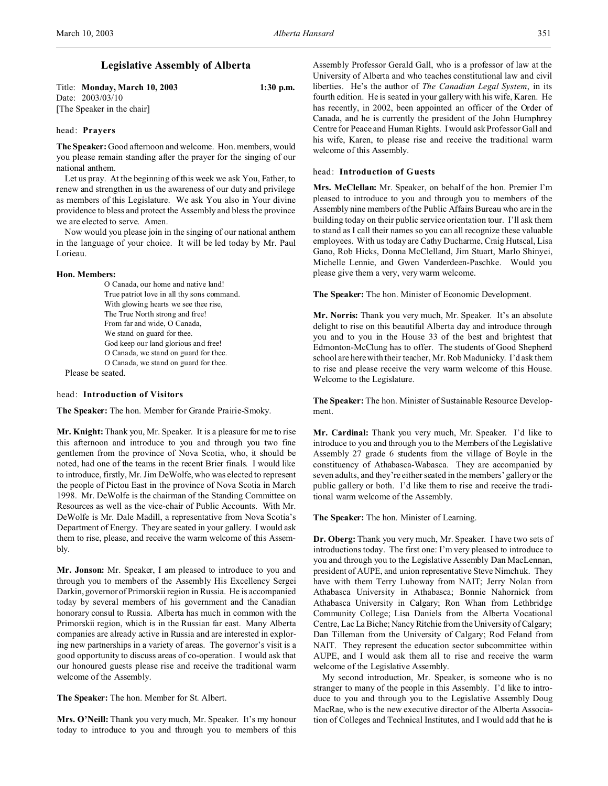# **Legislative Assembly of Alberta**

Title: **Monday, March 10, 2003 1:30 p.m.** Date: 2003/03/10 [The Speaker in the chair]

### head: **Prayers**

**The Speaker:** Good afternoon and welcome. Hon. members, would you please remain standing after the prayer for the singing of our national anthem.

Let us pray. At the beginning of this week we ask You, Father, to renew and strengthen in us the awareness of our duty and privilege as members of this Legislature. We ask You also in Your divine providence to bless and protect the Assembly and bless the province we are elected to serve. Amen.

Now would you please join in the singing of our national anthem in the language of your choice. It will be led today by Mr. Paul Lorieau.

#### **Hon. Members:**

O Canada, our home and native land! True patriot love in all thy sons command. With glowing hearts we see thee rise, The True North strong and free! From far and wide, O Canada, We stand on guard for thee. God keep our land glorious and free! O Canada, we stand on guard for thee. O Canada, we stand on guard for thee.

Please be seated.

## head: **Introduction of Visitors**

**The Speaker:** The hon. Member for Grande Prairie-Smoky.

**Mr. Knight:** Thank you, Mr. Speaker. It is a pleasure for me to rise this afternoon and introduce to you and through you two fine gentlemen from the province of Nova Scotia, who, it should be noted, had one of the teams in the recent Brier finals. I would like to introduce, firstly, Mr. Jim DeWolfe, who was elected to represent the people of Pictou East in the province of Nova Scotia in March 1998. Mr. DeWolfe is the chairman of the Standing Committee on Resources as well as the vice-chair of Public Accounts. With Mr. DeWolfe is Mr. Dale Madill, a representative from Nova Scotia's Department of Energy. They are seated in your gallery. I would ask them to rise, please, and receive the warm welcome of this Assembly.

**Mr. Jonson:** Mr. Speaker, I am pleased to introduce to you and through you to members of the Assembly His Excellency Sergei Darkin, governor of Primorskii region in Russia. He is accompanied today by several members of his government and the Canadian honorary consul to Russia. Alberta has much in common with the Primorskii region, which is in the Russian far east. Many Alberta companies are already active in Russia and are interested in exploring new partnerships in a variety of areas. The governor's visit is a good opportunity to discuss areas of co-operation. I would ask that our honoured guests please rise and receive the traditional warm welcome of the Assembly.

**The Speaker:** The hon. Member for St. Albert.

**Mrs. O'Neill:** Thank you very much, Mr. Speaker. It's my honour today to introduce to you and through you to members of this

Assembly Professor Gerald Gall, who is a professor of law at the University of Alberta and who teaches constitutional law and civil liberties. He's the author of *The Canadian Legal System*, in its fourth edition. He is seated in your gallery with his wife, Karen. He has recently, in 2002, been appointed an officer of the Order of Canada, and he is currently the president of the John Humphrey Centre for Peace and Human Rights. I would ask Professor Gall and his wife, Karen, to please rise and receive the traditional warm welcome of this Assembly.

### head: **Introduction of Guests**

**Mrs. McClellan:** Mr. Speaker, on behalf of the hon. Premier I'm pleased to introduce to you and through you to members of the Assembly nine members of the Public Affairs Bureau who are in the building today on their public service orientation tour. I'll ask them to stand as I call their names so you can all recognize these valuable employees. With us today are Cathy Ducharme, Craig Hutscal, Lisa Gano, Rob Hicks, Donna McClelland, Jim Stuart, Marlo Shinyei, Michelle Lennie, and Gwen Vanderdeen-Paschke. Would you please give them a very, very warm welcome.

**The Speaker:** The hon. Minister of Economic Development.

**Mr. Norris:** Thank you very much, Mr. Speaker. It's an absolute delight to rise on this beautiful Alberta day and introduce through you and to you in the House 33 of the best and brightest that Edmonton-McClung has to offer. The students of Good Shepherd school are here with their teacher, Mr. Rob Madunicky. I'd ask them to rise and please receive the very warm welcome of this House. Welcome to the Legislature.

**The Speaker:** The hon. Minister of Sustainable Resource Development.

**Mr. Cardinal:** Thank you very much, Mr. Speaker. I'd like to introduce to you and through you to the Members of the Legislative Assembly 27 grade 6 students from the village of Boyle in the constituency of Athabasca-Wabasca. They are accompanied by seven adults, and they're either seated in the members' gallery or the public gallery or both. I'd like them to rise and receive the traditional warm welcome of the Assembly.

**The Speaker:** The hon. Minister of Learning.

**Dr. Oberg:** Thank you very much, Mr. Speaker. I have two sets of introductions today. The first one: I'm very pleased to introduce to you and through you to the Legislative Assembly Dan MacLennan, president of AUPE, and union representative Steve Nimchuk. They have with them Terry Luhoway from NAIT; Jerry Nolan from Athabasca University in Athabasca; Bonnie Nahornick from Athabasca University in Calgary; Ron Whan from Lethbridge Community College; Lisa Daniels from the Alberta Vocational Centre, Lac La Biche; Nancy Ritchie from the University of Calgary; Dan Tilleman from the University of Calgary; Rod Feland from NAIT. They represent the education sector subcommittee within AUPE, and I would ask them all to rise and receive the warm welcome of the Legislative Assembly.

My second introduction, Mr. Speaker, is someone who is no stranger to many of the people in this Assembly. I'd like to introduce to you and through you to the Legislative Assembly Doug MacRae, who is the new executive director of the Alberta Association of Colleges and Technical Institutes, and I would add that he is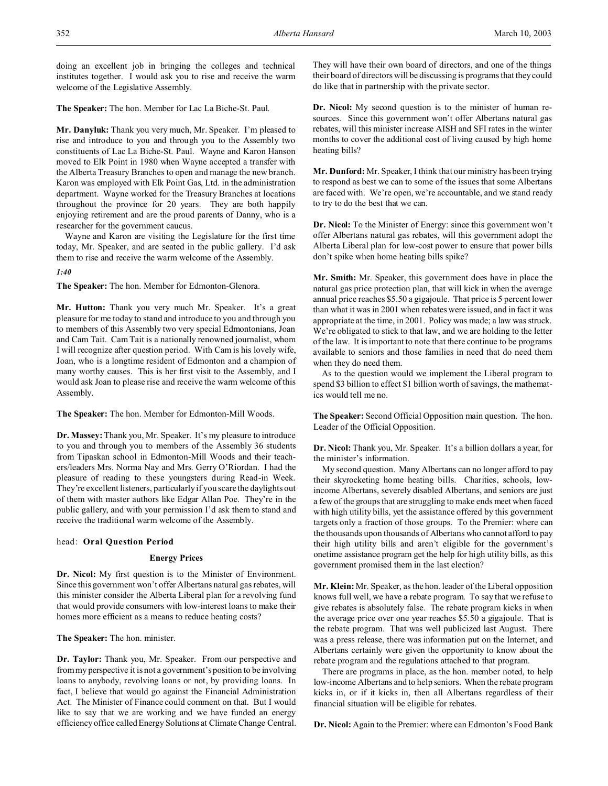doing an excellent job in bringing the colleges and technical institutes together. I would ask you to rise and receive the warm welcome of the Legislative Assembly.

**The Speaker:** The hon. Member for Lac La Biche-St. Paul.

**Mr. Danyluk:** Thank you very much, Mr. Speaker. I'm pleased to rise and introduce to you and through you to the Assembly two constituents of Lac La Biche-St. Paul. Wayne and Karon Hanson moved to Elk Point in 1980 when Wayne accepted a transfer with the Alberta Treasury Branches to open and manage the new branch. Karon was employed with Elk Point Gas, Ltd. in the administration department. Wayne worked for the Treasury Branches at locations throughout the province for 20 years. They are both happily enjoying retirement and are the proud parents of Danny, who is a researcher for the government caucus.

Wayne and Karon are visiting the Legislature for the first time today, Mr. Speaker, and are seated in the public gallery. I'd ask them to rise and receive the warm welcome of the Assembly.

*1:40*

**The Speaker:** The hon. Member for Edmonton-Glenora.

**Mr. Hutton:** Thank you very much Mr. Speaker. It's a great pleasure for me today to stand and introduce to you and through you to members of this Assembly two very special Edmontonians, Joan and Cam Tait. Cam Tait is a nationally renowned journalist, whom I will recognize after question period. With Cam is his lovely wife, Joan, who is a longtime resident of Edmonton and a champion of many worthy causes. This is her first visit to the Assembly, and I would ask Joan to please rise and receive the warm welcome of this Assembly.

**The Speaker:** The hon. Member for Edmonton-Mill Woods.

**Dr. Massey:** Thank you, Mr. Speaker. It's my pleasure to introduce to you and through you to members of the Assembly 36 students from Tipaskan school in Edmonton-Mill Woods and their teachers/leaders Mrs. Norma Nay and Mrs. Gerry O'Riordan. I had the pleasure of reading to these youngsters during Read-in Week. They're excellent listeners, particularly if you scare the daylights out of them with master authors like Edgar Allan Poe. They're in the public gallery, and with your permission I'd ask them to stand and receive the traditional warm welcome of the Assembly.

# head: **Oral Question Period**

## **Energy Prices**

**Dr. Nicol:** My first question is to the Minister of Environment. Since this government won't offer Albertans natural gas rebates, will this minister consider the Alberta Liberal plan for a revolving fund that would provide consumers with low-interest loans to make their homes more efficient as a means to reduce heating costs?

**The Speaker:** The hon. minister.

**Dr. Taylor:** Thank you, Mr. Speaker. From our perspective and from my perspective it is not a government's position to be involving loans to anybody, revolving loans or not, by providing loans. In fact, I believe that would go against the Financial Administration Act. The Minister of Finance could comment on that. But I would like to say that we are working and we have funded an energy efficiency office called Energy Solutions at Climate Change Central.

They will have their own board of directors, and one of the things their board of directors will be discussing is programs that they could do like that in partnership with the private sector.

**Dr. Nicol:** My second question is to the minister of human resources. Since this government won't offer Albertans natural gas rebates, will this minister increase AISH and SFI rates in the winter months to cover the additional cost of living caused by high home heating bills?

**Mr. Dunford:** Mr. Speaker, I think that our ministry has been trying to respond as best we can to some of the issues that some Albertans are faced with. We're open, we're accountable, and we stand ready to try to do the best that we can.

**Dr. Nicol:** To the Minister of Energy: since this government won't offer Albertans natural gas rebates, will this government adopt the Alberta Liberal plan for low-cost power to ensure that power bills don't spike when home heating bills spike?

**Mr. Smith:** Mr. Speaker, this government does have in place the natural gas price protection plan, that will kick in when the average annual price reaches \$5.50 a gigajoule. That price is 5 percent lower than what it was in 2001 when rebates were issued, and in fact it was appropriate at the time, in 2001. Policy was made; a law was struck. We're obligated to stick to that law, and we are holding to the letter of the law. It is important to note that there continue to be programs available to seniors and those families in need that do need them when they do need them.

As to the question would we implement the Liberal program to spend \$3 billion to effect \$1 billion worth of savings, the mathematics would tell me no.

**The Speaker:** Second Official Opposition main question. The hon. Leader of the Official Opposition.

**Dr. Nicol:** Thank you, Mr. Speaker. It's a billion dollars a year, for the minister's information.

My second question. Many Albertans can no longer afford to pay their skyrocketing home heating bills. Charities, schools, lowincome Albertans, severely disabled Albertans, and seniors are just a few of the groups that are struggling to make ends meet when faced with high utility bills, yet the assistance offered by this government targets only a fraction of those groups. To the Premier: where can the thousands upon thousands of Albertans who cannot afford to pay their high utility bills and aren't eligible for the government's onetime assistance program get the help for high utility bills, as this government promised them in the last election?

**Mr. Klein:** Mr. Speaker, as the hon. leader of the Liberal opposition knows full well, we have a rebate program. To say that we refuse to give rebates is absolutely false. The rebate program kicks in when the average price over one year reaches \$5.50 a gigajoule. That is the rebate program. That was well publicized last August. There was a press release, there was information put on the Internet, and Albertans certainly were given the opportunity to know about the rebate program and the regulations attached to that program.

There are programs in place, as the hon. member noted, to help low-income Albertans and to help seniors. When the rebate program kicks in, or if it kicks in, then all Albertans regardless of their financial situation will be eligible for rebates.

**Dr. Nicol:** Again to the Premier: where can Edmonton's Food Bank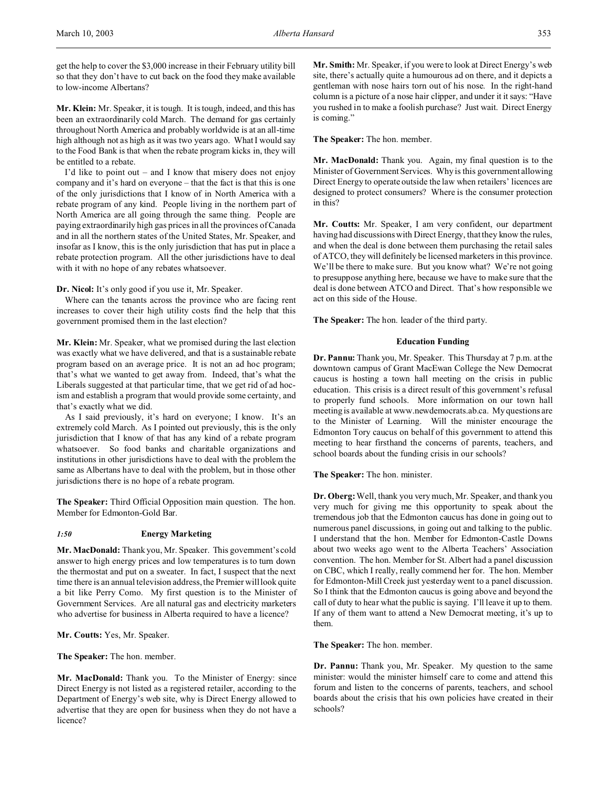get the help to cover the \$3,000 increase in their February utility bill so that they don't have to cut back on the food they make available to low-income Albertans?

**Mr. Klein:** Mr. Speaker, it is tough. It is tough, indeed, and this has been an extraordinarily cold March. The demand for gas certainly throughout North America and probably worldwide is at an all-time high although not as high as it was two years ago. What I would say to the Food Bank is that when the rebate program kicks in, they will be entitled to a rebate.

I'd like to point out – and I know that misery does not enjoy company and it's hard on everyone – that the fact is that this is one of the only jurisdictions that I know of in North America with a rebate program of any kind. People living in the northern part of North America are all going through the same thing. People are paying extraordinarily high gas prices in all the provinces of Canada and in all the northern states of the United States, Mr. Speaker, and insofar as I know, this is the only jurisdiction that has put in place a rebate protection program. All the other jurisdictions have to deal with it with no hope of any rebates whatsoever.

**Dr. Nicol:** It's only good if you use it, Mr. Speaker.

Where can the tenants across the province who are facing rent increases to cover their high utility costs find the help that this government promised them in the last election?

**Mr. Klein:** Mr. Speaker, what we promised during the last election was exactly what we have delivered, and that is a sustainable rebate program based on an average price. It is not an ad hoc program; that's what we wanted to get away from. Indeed, that's what the Liberals suggested at that particular time, that we get rid of ad hocism and establish a program that would provide some certainty, and that's exactly what we did.

As I said previously, it's hard on everyone; I know. It's an extremely cold March. As I pointed out previously, this is the only jurisdiction that I know of that has any kind of a rebate program whatsoever. So food banks and charitable organizations and institutions in other jurisdictions have to deal with the problem the same as Albertans have to deal with the problem, but in those other jurisdictions there is no hope of a rebate program.

**The Speaker:** Third Official Opposition main question. The hon. Member for Edmonton-Gold Bar.

## *1:50* **Energy Marketing**

**Mr. MacDonald:** Thank you, Mr. Speaker. This government's cold answer to high energy prices and low temperatures is to turn down the thermostat and put on a sweater. In fact, I suspect that the next time there is an annual television address, the Premier will look quite a bit like Perry Como. My first question is to the Minister of Government Services. Are all natural gas and electricity marketers who advertise for business in Alberta required to have a licence?

**Mr. Coutts:** Yes, Mr. Speaker.

**The Speaker:** The hon. member.

**Mr. MacDonald:** Thank you. To the Minister of Energy: since Direct Energy is not listed as a registered retailer, according to the Department of Energy's web site, why is Direct Energy allowed to advertise that they are open for business when they do not have a licence?

**Mr. Smith:** Mr. Speaker, if you were to look at Direct Energy's web site, there's actually quite a humourous ad on there, and it depicts a gentleman with nose hairs torn out of his nose. In the right-hand column is a picture of a nose hair clipper, and under it it says: "Have you rushed in to make a foolish purchase? Just wait. Direct Energy is coming."

**The Speaker:** The hon. member.

**Mr. MacDonald:** Thank you. Again, my final question is to the Minister of Government Services. Why is this government allowing Direct Energy to operate outside the law when retailers' licences are designed to protect consumers? Where is the consumer protection in this?

**Mr. Coutts:** Mr. Speaker, I am very confident, our department having had discussions with Direct Energy, that they know the rules, and when the deal is done between them purchasing the retail sales of ATCO, they will definitely be licensed marketers in this province. We'll be there to make sure. But you know what? We're not going to presuppose anything here, because we have to make sure that the deal is done between ATCO and Direct. That's how responsible we act on this side of the House.

**The Speaker:** The hon. leader of the third party.

### **Education Funding**

**Dr. Pannu:** Thank you, Mr. Speaker. This Thursday at 7 p.m. at the downtown campus of Grant MacEwan College the New Democrat caucus is hosting a town hall meeting on the crisis in public education. This crisis is a direct result of this government's refusal to properly fund schools. More information on our town hall meeting is available at www.newdemocrats.ab.ca. My questions are to the Minister of Learning. Will the minister encourage the Edmonton Tory caucus on behalf of this government to attend this meeting to hear firsthand the concerns of parents, teachers, and school boards about the funding crisis in our schools?

**The Speaker:** The hon. minister.

**Dr. Oberg:**Well, thank you very much, Mr. Speaker, and thank you very much for giving me this opportunity to speak about the tremendous job that the Edmonton caucus has done in going out to numerous panel discussions, in going out and talking to the public. I understand that the hon. Member for Edmonton-Castle Downs about two weeks ago went to the Alberta Teachers' Association convention. The hon. Member for St. Albert had a panel discussion on CBC, which I really, really commend her for. The hon. Member for Edmonton-Mill Creek just yesterday went to a panel discussion. So I think that the Edmonton caucus is going above and beyond the call of duty to hear what the public is saying. I'll leave it up to them. If any of them want to attend a New Democrat meeting, it's up to them.

**The Speaker:** The hon. member.

**Dr. Pannu:** Thank you, Mr. Speaker. My question to the same minister: would the minister himself care to come and attend this forum and listen to the concerns of parents, teachers, and school boards about the crisis that his own policies have created in their schools?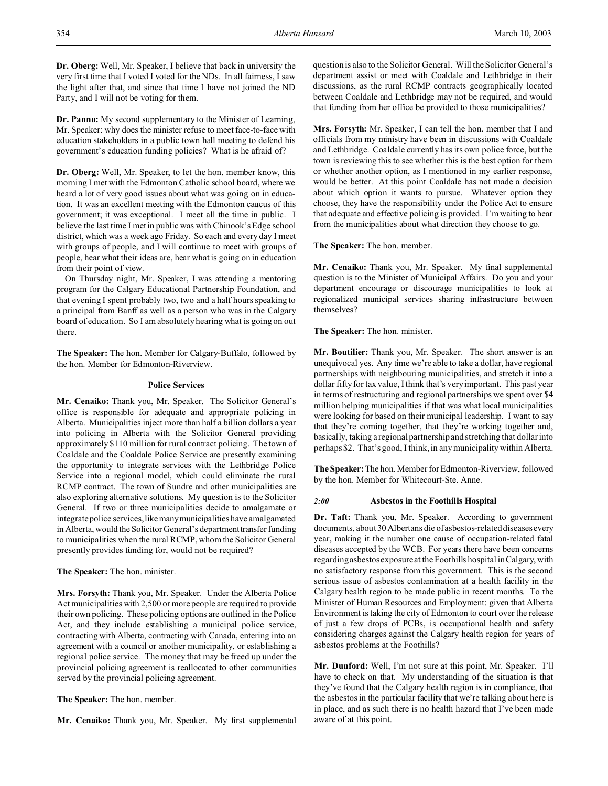**Dr. Oberg:** Well, Mr. Speaker, I believe that back in university the very first time that I voted I voted for the NDs. In all fairness, I saw the light after that, and since that time I have not joined the ND Party, and I will not be voting for them.

**Dr. Pannu:** My second supplementary to the Minister of Learning, Mr. Speaker: why does the minister refuse to meet face-to-face with education stakeholders in a public town hall meeting to defend his government's education funding policies? What is he afraid of?

**Dr. Oberg:** Well, Mr. Speaker, to let the hon. member know, this morning I met with the Edmonton Catholic school board, where we heard a lot of very good issues about what was going on in education. It was an excellent meeting with the Edmonton caucus of this government; it was exceptional. I meet all the time in public. I believe the last time I met in public was with Chinook's Edge school district, which was a week ago Friday. So each and every day I meet with groups of people, and I will continue to meet with groups of people, hear what their ideas are, hear what is going on in education from their point of view.

On Thursday night, Mr. Speaker, I was attending a mentoring program for the Calgary Educational Partnership Foundation, and that evening I spent probably two, two and a half hours speaking to a principal from Banff as well as a person who was in the Calgary board of education. So I am absolutely hearing what is going on out there.

**The Speaker:** The hon. Member for Calgary-Buffalo, followed by the hon. Member for Edmonton-Riverview.

## **Police Services**

**Mr. Cenaiko:** Thank you, Mr. Speaker. The Solicitor General's office is responsible for adequate and appropriate policing in Alberta. Municipalities inject more than half a billion dollars a year into policing in Alberta with the Solicitor General providing approximately \$110 million for rural contract policing. The town of Coaldale and the Coaldale Police Service are presently examining the opportunity to integrate services with the Lethbridge Police Service into a regional model, which could eliminate the rural RCMP contract. The town of Sundre and other municipalities are also exploring alternative solutions. My question is to the Solicitor General. If two or three municipalities decide to amalgamate or integrate police services, likemanymunicipalities have amalgamated in Alberta, would the Solicitor General's departmenttransfer funding to municipalities when the rural RCMP, whom the Solicitor General presently provides funding for, would not be required?

**The Speaker:** The hon. minister.

**Mrs. Forsyth:** Thank you, Mr. Speaker. Under the Alberta Police Act municipalities with 2,500 or more people are required to provide their own policing. These policing options are outlined in the Police Act, and they include establishing a municipal police service, contracting with Alberta, contracting with Canada, entering into an agreement with a council or another municipality, or establishing a regional police service. The money that may be freed up under the provincial policing agreement is reallocated to other communities served by the provincial policing agreement.

**The Speaker:** The hon. member.

**Mr. Cenaiko:** Thank you, Mr. Speaker. My first supplemental

question is also to the Solicitor General. Will the Solicitor General's department assist or meet with Coaldale and Lethbridge in their discussions, as the rural RCMP contracts geographically located between Coaldale and Lethbridge may not be required, and would that funding from her office be provided to those municipalities?

**Mrs. Forsyth:** Mr. Speaker, I can tell the hon. member that I and officials from my ministry have been in discussions with Coaldale and Lethbridge. Coaldale currently has its own police force, but the town is reviewing this to see whether this is the best option for them or whether another option, as I mentioned in my earlier response, would be better. At this point Coaldale has not made a decision about which option it wants to pursue. Whatever option they choose, they have the responsibility under the Police Act to ensure that adequate and effective policing is provided. I'm waiting to hear from the municipalities about what direction they choose to go.

**The Speaker:** The hon. member.

**Mr. Cenaiko:** Thank you, Mr. Speaker. My final supplemental question is to the Minister of Municipal Affairs. Do you and your department encourage or discourage municipalities to look at regionalized municipal services sharing infrastructure between themselves?

**The Speaker:** The hon. minister.

**Mr. Boutilier:** Thank you, Mr. Speaker. The short answer is an unequivocal yes. Any time we're able to take a dollar, have regional partnerships with neighbouring municipalities, and stretch it into a dollar fifty for tax value, I think that's very important. This past year in terms of restructuring and regional partnerships we spent over \$4 million helping municipalities if that was what local municipalities were looking for based on their municipal leadership. I want to say that they're coming together, that they're working together and, basically, taking a regional partnership and stretching that dollar into perhaps \$2. That's good, I think, in any municipality within Alberta.

**The Speaker:** The hon. Member for Edmonton-Riverview, followed by the hon. Member for Whitecourt-Ste. Anne.

#### *2:00* **Asbestos in the Foothills Hospital**

**Dr. Taft:** Thank you, Mr. Speaker. According to government documents, about 30 Albertans die of asbestos-related diseases every year, making it the number one cause of occupation-related fatal diseases accepted by the WCB. For years there have been concerns regarding asbestos exposure at the Foothills hospital in Calgary, with no satisfactory response from this government. This is the second serious issue of asbestos contamination at a health facility in the Calgary health region to be made public in recent months. To the Minister of Human Resources and Employment: given that Alberta Environment is taking the city of Edmonton to court over the release of just a few drops of PCBs, is occupational health and safety considering charges against the Calgary health region for years of asbestos problems at the Foothills?

**Mr. Dunford:** Well, I'm not sure at this point, Mr. Speaker. I'll have to check on that. My understanding of the situation is that they've found that the Calgary health region is in compliance, that the asbestos in the particular facility that we're talking about here is in place, and as such there is no health hazard that I've been made aware of at this point.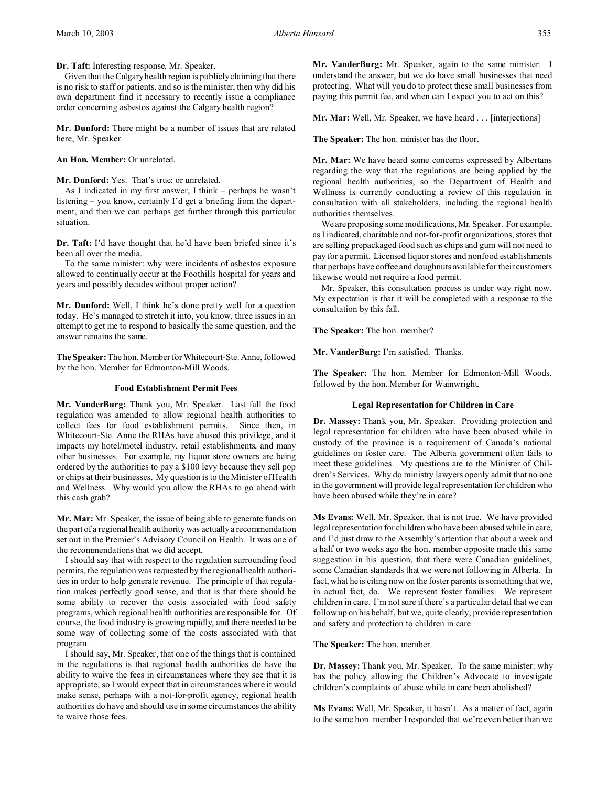**Dr. Taft:** Interesting response, Mr. Speaker.

Given that the Calgary health region is publicly claiming that there is no risk to staff or patients, and so is the minister, then why did his own department find it necessary to recently issue a compliance order concerning asbestos against the Calgary health region?

**Mr. Dunford:** There might be a number of issues that are related here, Mr. Speaker.

## **An Hon. Member:** Or unrelated.

**Mr. Dunford:** Yes. That's true: or unrelated.

As I indicated in my first answer, I think – perhaps he wasn't listening – you know, certainly I'd get a briefing from the department, and then we can perhaps get further through this particular situation.

**Dr. Taft:** I'd have thought that he'd have been briefed since it's been all over the media.

To the same minister: why were incidents of asbestos exposure allowed to continually occur at the Foothills hospital for years and years and possibly decades without proper action?

**Mr. Dunford:** Well, I think he's done pretty well for a question today. He's managed to stretch it into, you know, three issues in an attempt to get me to respond to basically the same question, and the answer remains the same.

**The Speaker:** The hon. Member for Whitecourt-Ste. Anne, followed by the hon. Member for Edmonton-Mill Woods.

## **Food Establishment Permit Fees**

**Mr. VanderBurg:** Thank you, Mr. Speaker. Last fall the food regulation was amended to allow regional health authorities to collect fees for food establishment permits. Since then, in Whitecourt-Ste. Anne the RHAs have abused this privilege, and it impacts my hotel/motel industry, retail establishments, and many other businesses. For example, my liquor store owners are being ordered by the authorities to pay a \$100 levy because they sell pop or chips at their businesses. My question is to the Minister of Health and Wellness. Why would you allow the RHAs to go ahead with this cash grab?

**Mr. Mar:** Mr. Speaker, the issue of being able to generate funds on the part of a regional health authority was actually a recommendation set out in the Premier's Advisory Council on Health. It was one of the recommendations that we did accept.

I should say that with respect to the regulation surrounding food permits, the regulation was requested by the regional health authorities in order to help generate revenue. The principle of that regulation makes perfectly good sense, and that is that there should be some ability to recover the costs associated with food safety programs, which regional health authorities are responsible for. Of course, the food industry is growing rapidly, and there needed to be some way of collecting some of the costs associated with that program.

I should say, Mr. Speaker, that one of the things that is contained in the regulations is that regional health authorities do have the ability to waive the fees in circumstances where they see that it is appropriate, so I would expect that in circumstances where it would make sense, perhaps with a not-for-profit agency, regional health authorities do have and should use in some circumstances the ability to waive those fees.

**Mr. VanderBurg:** Mr. Speaker, again to the same minister. I understand the answer, but we do have small businesses that need protecting. What will you do to protect these small businesses from paying this permit fee, and when can I expect you to act on this?

**Mr. Mar:** Well, Mr. Speaker, we have heard . . . [interjections]

**The Speaker:** The hon. minister has the floor.

**Mr. Mar:** We have heard some concerns expressed by Albertans regarding the way that the regulations are being applied by the regional health authorities, so the Department of Health and Wellness is currently conducting a review of this regulation in consultation with all stakeholders, including the regional health authorities themselves.

We are proposing some modifications, Mr. Speaker. For example, as I indicated, charitable and not-for-profit organizations, stores that are selling prepackaged food such as chips and gum will not need to pay for a permit. Licensed liquor stores and nonfood establishments that perhaps have coffee and doughnuts available for their customers likewise would not require a food permit.

Mr. Speaker, this consultation process is under way right now. My expectation is that it will be completed with a response to the consultation by this fall.

**The Speaker:** The hon. member?

**Mr. VanderBurg:** I'm satisfied. Thanks.

**The Speaker:** The hon. Member for Edmonton-Mill Woods, followed by the hon. Member for Wainwright.

# **Legal Representation for Children in Care**

**Dr. Massey:** Thank you, Mr. Speaker. Providing protection and legal representation for children who have been abused while in custody of the province is a requirement of Canada's national guidelines on foster care. The Alberta government often fails to meet these guidelines. My questions are to the Minister of Children's Services. Why do ministry lawyers openly admit that no one in the government will provide legal representation for children who have been abused while they're in care?

**Ms Evans:** Well, Mr. Speaker, that is not true. We have provided legal representation for children who have been abused while in care, and I'd just draw to the Assembly's attention that about a week and a half or two weeks ago the hon. member opposite made this same suggestion in his question, that there were Canadian guidelines, some Canadian standards that we were not following in Alberta. In fact, what he is citing now on the foster parents is something that we, in actual fact, do. We represent foster families. We represent children in care. I'm not sure if there's a particular detail that we can follow up on his behalf, but we, quite clearly, provide representation and safety and protection to children in care.

**The Speaker:** The hon. member.

**Dr. Massey:** Thank you, Mr. Speaker. To the same minister: why has the policy allowing the Children's Advocate to investigate children's complaints of abuse while in care been abolished?

**Ms Evans:** Well, Mr. Speaker, it hasn't. As a matter of fact, again to the same hon. member I responded that we're even better than we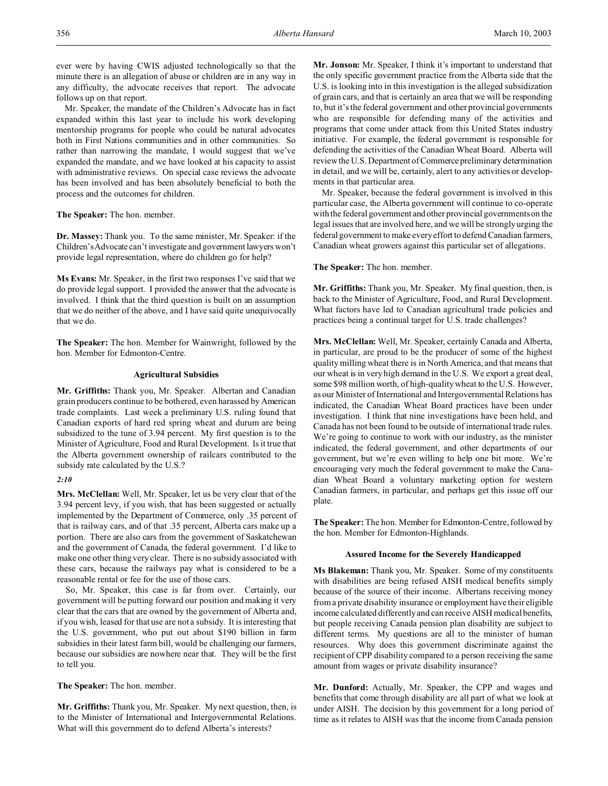ever were by having CWIS adjusted technologically so that the minute there is an allegation of abuse or children are in any way in any difficulty, the advocate receives that report. The advocate follows up on that report.

Mr. Speaker, the mandate of the Children's Advocate has in fact expanded within this last year to include his work developing mentorship programs for people who could be natural advocates both in First Nations communities and in other communities. So rather than narrowing the mandate, I would suggest that we've expanded the mandate, and we have looked at his capacity to assist with administrative reviews. On special case reviews the advocate has been involved and has been absolutely beneficial to both the process and the outcomes for children.

**The Speaker:** The hon. member.

**Dr. Massey:** Thank you. To the same minister, Mr. Speaker: if the Children'sAdvocate can't investigate and government lawyers won't provide legal representation, where do children go for help?

**Ms Evans:** Mr. Speaker, in the first two responses I've said that we do provide legal support. I provided the answer that the advocate is involved. I think that the third question is built on an assumption that we do neither of the above, and I have said quite unequivocally that we do.

**The Speaker:** The hon. Member for Wainwright, followed by the hon. Member for Edmonton-Centre.

### **Agricultural Subsidies**

**Mr. Griffiths:** Thank you, Mr. Speaker. Albertan and Canadian grain producers continue to be bothered, even harassed by American trade complaints. Last week a preliminary U.S. ruling found that Canadian exports of hard red spring wheat and durum are being subsidized to the tune of 3.94 percent. My first question is to the Minister of Agriculture, Food and Rural Development. Is it true that the Alberta government ownership of railcars contributed to the subsidy rate calculated by the U.S.?

## *2:10*

**Mrs. McClellan:** Well, Mr. Speaker, let us be very clear that of the 3.94 percent levy, if you wish, that has been suggested or actually implemented by the Department of Commerce, only .35 percent of that is railway cars, and of that .35 percent, Alberta cars make up a portion. There are also cars from the government of Saskatchewan and the government of Canada, the federal government. I'd like to make one other thing very clear. There is no subsidy associated with these cars, because the railways pay what is considered to be a reasonable rental or fee for the use of those cars.

So, Mr. Speaker, this case is far from over. Certainly, our government will be putting forward our position and making it very clear that the cars that are owned by the government of Alberta and, if you wish, leased for that use are not a subsidy. It is interesting that the U.S. government, who put out about \$190 billion in farm subsidies in their latest farm bill, would be challenging our farmers, because our subsidies are nowhere near that. They will be the first to tell you.

**The Speaker:** The hon. member.

**Mr. Griffiths:** Thank you, Mr. Speaker. My next question, then, is to the Minister of International and Intergovernmental Relations. What will this government do to defend Alberta's interests?

**Mr. Jonson:** Mr. Speaker, I think it's important to understand that the only specific government practice from the Alberta side that the U.S. is looking into in this investigation is the alleged subsidization of grain cars, and that is certainly an area that we will be responding to, but it's the federal government and other provincial governments who are responsible for defending many of the activities and programs that come under attack from this United States industry initiative. For example, the federal government is responsible for defending the activities of the Canadian Wheat Board. Alberta will review the U.S. Department of Commerce preliminary determination in detail, and we will be, certainly, alert to any activities or developments in that particular area.

Mr. Speaker, because the federal government is involved in this particular case, the Alberta government will continue to co-operate with the federal government and other provincial governments on the legal issues that are involved here, and we will be strongly urging the federal government to make every effort to defend Canadian farmers, Canadian wheat growers against this particular set of allegations.

**The Speaker:** The hon. member.

**Mr. Griffiths:** Thank you, Mr. Speaker. My final question, then, is back to the Minister of Agriculture, Food, and Rural Development. What factors have led to Canadian agricultural trade policies and practices being a continual target for U.S. trade challenges?

**Mrs. McClellan:** Well, Mr. Speaker, certainly Canada and Alberta, in particular, are proud to be the producer of some of the highest quality milling wheat there is in North America, and that means that our wheat is in very high demand in the U.S. We export a great deal, some \$98 million worth, of high-quality wheat to the U.S. However, as our Minister of International and Intergovernmental Relations has indicated, the Canadian Wheat Board practices have been under investigation. I think that nine investigations have been held, and Canada has not been found to be outside of international trade rules. We're going to continue to work with our industry, as the minister indicated, the federal government, and other departments of our government, but we're even willing to help one bit more. We're encouraging very much the federal government to make the Canadian Wheat Board a voluntary marketing option for western Canadian farmers, in particular, and perhaps get this issue off our plate.

**The Speaker:** The hon. Member for Edmonton-Centre, followed by the hon. Member for Edmonton-Highlands.

### **Assured Income for the Severely Handicapped**

**Ms Blakeman:** Thank you, Mr. Speaker. Some of my constituents with disabilities are being refused AISH medical benefits simply because of the source of their income. Albertans receiving money from a private disability insurance or employment have their eligible income calculated differently and can receive AISH medical benefits, but people receiving Canada pension plan disability are subject to different terms. My questions are all to the minister of human resources. Why does this government discriminate against the recipient of CPP disability compared to a person receiving the same amount from wages or private disability insurance?

**Mr. Dunford:** Actually, Mr. Speaker, the CPP and wages and benefits that come through disability are all part of what we look at under AISH. The decision by this government for a long period of time as it relates to AISH was that the income from Canada pension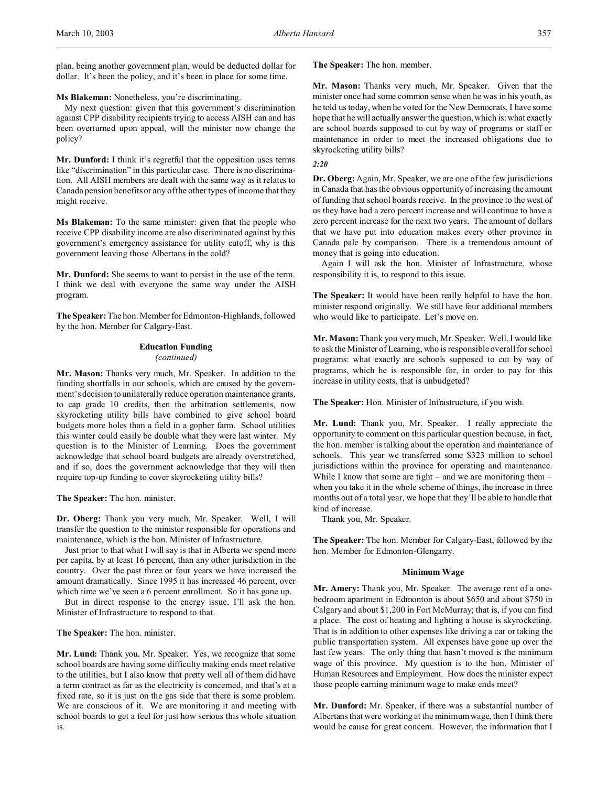plan, being another government plan, would be deducted dollar for dollar. It's been the policy, and it's been in place for some time.

**Ms Blakeman:** Nonetheless, you're discriminating.

My next question: given that this government's discrimination against CPP disability recipients trying to access AISH can and has been overturned upon appeal, will the minister now change the policy?

**Mr. Dunford:** I think it's regretful that the opposition uses terms like "discrimination" in this particular case. There is no discrimination. All AISH members are dealt with the same way as it relates to Canada pension benefits or any of the other types of income that they might receive.

**Ms Blakeman:** To the same minister: given that the people who receive CPP disability income are also discriminated against by this government's emergency assistance for utility cutoff, why is this government leaving those Albertans in the cold?

**Mr. Dunford:** She seems to want to persist in the use of the term. I think we deal with everyone the same way under the AISH program.

**The Speaker:** The hon. Member for Edmonton-Highlands, followed by the hon. Member for Calgary-East.

### **Education Funding** *(continued)*

**Mr. Mason:** Thanks very much, Mr. Speaker. In addition to the funding shortfalls in our schools, which are caused by the government's decision to unilaterally reduce operation maintenance grants, to cap grade 10 credits, then the arbitration settlements, now skyrocketing utility bills have combined to give school board budgets more holes than a field in a gopher farm. School utilities this winter could easily be double what they were last winter. My question is to the Minister of Learning. Does the government acknowledge that school board budgets are already overstretched, and if so, does the government acknowledge that they will then require top-up funding to cover skyrocketing utility bills?

**The Speaker:** The hon. minister.

**Dr. Oberg:** Thank you very much, Mr. Speaker. Well, I will transfer the question to the minister responsible for operations and maintenance, which is the hon. Minister of Infrastructure.

Just prior to that what I will say is that in Alberta we spend more per capita, by at least 16 percent, than any other jurisdiction in the country. Over the past three or four years we have increased the amount dramatically. Since 1995 it has increased 46 percent, over which time we've seen a 6 percent enrollment. So it has gone up.

But in direct response to the energy issue, I'll ask the hon. Minister of Infrastructure to respond to that.

**The Speaker:** The hon. minister.

**Mr. Lund:** Thank you, Mr. Speaker. Yes, we recognize that some school boards are having some difficulty making ends meet relative to the utilities, but I also know that pretty well all of them did have a term contract as far as the electricity is concerned, and that's at a fixed rate, so it is just on the gas side that there is some problem. We are conscious of it. We are monitoring it and meeting with school boards to get a feel for just how serious this whole situation is.

**The Speaker:** The hon. member.

**Mr. Mason:** Thanks very much, Mr. Speaker. Given that the minister once had some common sense when he was in his youth, as he told us today, when he voted for the New Democrats, I have some hope that he will actually answer the question, which is: what exactly are school boards supposed to cut by way of programs or staff or maintenance in order to meet the increased obligations due to skyrocketing utility bills?

*2:20*

**Dr. Oberg:** Again, Mr. Speaker, we are one of the few jurisdictions in Canada that has the obvious opportunity of increasing the amount of funding that school boards receive. In the province to the west of us they have had a zero percent increase and will continue to have a zero percent increase for the next two years. The amount of dollars that we have put into education makes every other province in Canada pale by comparison. There is a tremendous amount of money that is going into education.

Again I will ask the hon. Minister of Infrastructure, whose responsibility it is, to respond to this issue.

**The Speaker:** It would have been really helpful to have the hon. minister respond originally. We still have four additional members who would like to participate. Let's move on.

**Mr. Mason:** Thank you very much, Mr. Speaker. Well, I would like to ask the Minister of Learning, who is responsible overall for school programs: what exactly are schools supposed to cut by way of programs, which he is responsible for, in order to pay for this increase in utility costs, that is unbudgeted?

**The Speaker:** Hon. Minister of Infrastructure, if you wish.

**Mr. Lund:** Thank you, Mr. Speaker. I really appreciate the opportunity to comment on this particular question because, in fact, the hon. member is talking about the operation and maintenance of schools. This year we transferred some \$323 million to school jurisdictions within the province for operating and maintenance. While I know that some are tight – and we are monitoring them – when you take it in the whole scheme of things, the increase in three months out of a total year, we hope that they'll be able to handle that kind of increase.

Thank you, Mr. Speaker.

**The Speaker:** The hon. Member for Calgary-East, followed by the hon. Member for Edmonton-Glengarry.

## **Minimum Wage**

**Mr. Amery:** Thank you, Mr. Speaker. The average rent of a onebedroom apartment in Edmonton is about \$650 and about \$750 in Calgary and about \$1,200 in Fort McMurray; that is, if you can find a place. The cost of heating and lighting a house is skyrocketing. That is in addition to other expenses like driving a car or taking the public transportation system. All expenses have gone up over the last few years. The only thing that hasn't moved is the minimum wage of this province. My question is to the hon. Minister of Human Resources and Employment. How does the minister expect those people earning minimum wage to make ends meet?

**Mr. Dunford:** Mr. Speaker, if there was a substantial number of Albertans that were working at the minimum wage, then I think there would be cause for great concern. However, the information that I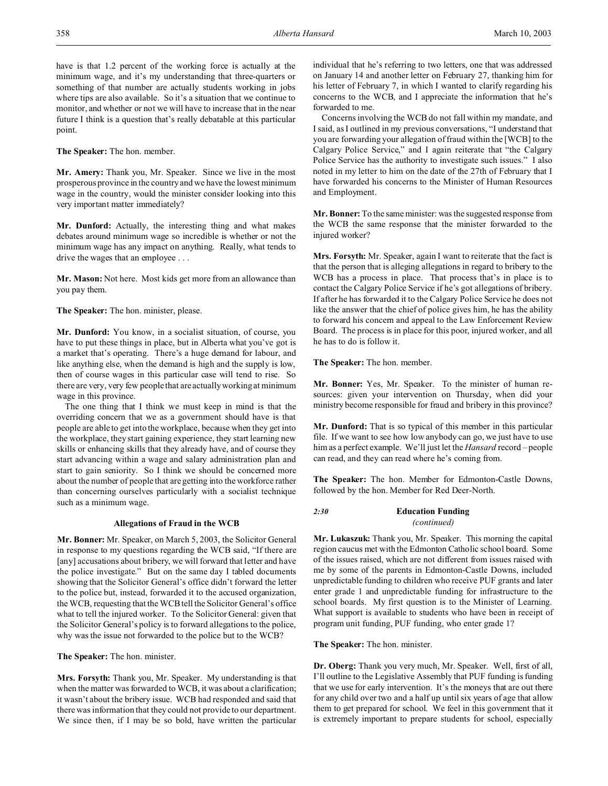have is that 1.2 percent of the working force is actually at the minimum wage, and it's my understanding that three-quarters or something of that number are actually students working in jobs where tips are also available. So it's a situation that we continue to monitor, and whether or not we will have to increase that in the near future I think is a question that's really debatable at this particular point.

**The Speaker:** The hon. member.

**Mr. Amery:** Thank you, Mr. Speaker. Since we live in the most prosperous province in the country and we have the lowest minimum wage in the country, would the minister consider looking into this very important matter immediately?

**Mr. Dunford:** Actually, the interesting thing and what makes debates around minimum wage so incredible is whether or not the minimum wage has any impact on anything. Really, what tends to drive the wages that an employee . . .

**Mr. Mason:** Not here. Most kids get more from an allowance than you pay them.

**The Speaker:** The hon. minister, please.

**Mr. Dunford:** You know, in a socialist situation, of course, you have to put these things in place, but in Alberta what you've got is a market that's operating. There's a huge demand for labour, and like anything else, when the demand is high and the supply is low, then of course wages in this particular case will tend to rise. So there are very, very few people that are actually working at minimum wage in this province.

The one thing that I think we must keep in mind is that the overriding concern that we as a government should have is that people are able to get into the workplace, because when they get into the workplace, they start gaining experience, they start learning new skills or enhancing skills that they already have, and of course they start advancing within a wage and salary administration plan and start to gain seniority. So I think we should be concerned more about the number of people that are getting into the workforce rather than concerning ourselves particularly with a socialist technique such as a minimum wage.

#### **Allegations of Fraud in the WCB**

**Mr. Bonner:** Mr. Speaker, on March 5, 2003, the Solicitor General in response to my questions regarding the WCB said, "If there are [any] accusations about bribery, we will forward that letter and have the police investigate." But on the same day I tabled documents showing that the Solicitor General's office didn't forward the letter to the police but, instead, forwarded it to the accused organization, the WCB, requesting that the WCB tell the Solicitor General's office what to tell the injured worker. To the Solicitor General: given that the Solicitor General's policy is to forward allegations to the police, why was the issue not forwarded to the police but to the WCB?

**The Speaker:** The hon. minister.

**Mrs. Forsyth:** Thank you, Mr. Speaker. My understanding is that when the matter was forwarded to WCB, it was about a clarification; it wasn't about the bribery issue. WCB had responded and said that there was information that they could not provide to our department. We since then, if I may be so bold, have written the particular

individual that he's referring to two letters, one that was addressed on January 14 and another letter on February 27, thanking him for his letter of February 7, in which I wanted to clarify regarding his concerns to the WCB, and I appreciate the information that he's forwarded to me.

Concerns involving the WCB do not fall within my mandate, and I said, as I outlined in my previous conversations, "I understand that you are forwarding your allegation of fraud within the [WCB] to the Calgary Police Service," and I again reiterate that "the Calgary Police Service has the authority to investigate such issues." I also noted in my letter to him on the date of the 27th of February that I have forwarded his concerns to the Minister of Human Resources and Employment.

**Mr. Bonner:** To the same minister: was the suggested response from the WCB the same response that the minister forwarded to the injured worker?

**Mrs. Forsyth:** Mr. Speaker, again I want to reiterate that the fact is that the person that is alleging allegations in regard to bribery to the WCB has a process in place. That process that's in place is to contact the Calgary Police Service if he's got allegations of bribery. If after he has forwarded it to the Calgary Police Service he does not like the answer that the chief of police gives him, he has the ability to forward his concern and appeal to the Law Enforcement Review Board. The process is in place for this poor, injured worker, and all he has to do is follow it.

**The Speaker:** The hon. member.

**Mr. Bonner:** Yes, Mr. Speaker. To the minister of human resources: given your intervention on Thursday, when did your ministry become responsible for fraud and bribery in this province?

**Mr. Dunford:** That is so typical of this member in this particular file. If we want to see how low anybody can go, we just have to use him as a perfect example. We'll just let the *Hansard* record – people can read, and they can read where he's coming from.

**The Speaker:** The hon. Member for Edmonton-Castle Downs, followed by the hon. Member for Red Deer-North.

# *2:30* **Education Funding** *(continued)*

**Mr. Lukaszuk:** Thank you, Mr. Speaker. This morning the capital region caucus met with the Edmonton Catholic school board. Some of the issues raised, which are not different from issues raised with me by some of the parents in Edmonton-Castle Downs, included unpredictable funding to children who receive PUF grants and later enter grade 1 and unpredictable funding for infrastructure to the school boards. My first question is to the Minister of Learning. What support is available to students who have been in receipt of program unit funding, PUF funding, who enter grade 1?

**The Speaker:** The hon. minister.

**Dr. Oberg:** Thank you very much, Mr. Speaker. Well, first of all, I'll outline to the Legislative Assembly that PUF funding is funding that we use for early intervention. It's the moneys that are out there for any child over two and a half up until six years of age that allow them to get prepared for school. We feel in this government that it is extremely important to prepare students for school, especially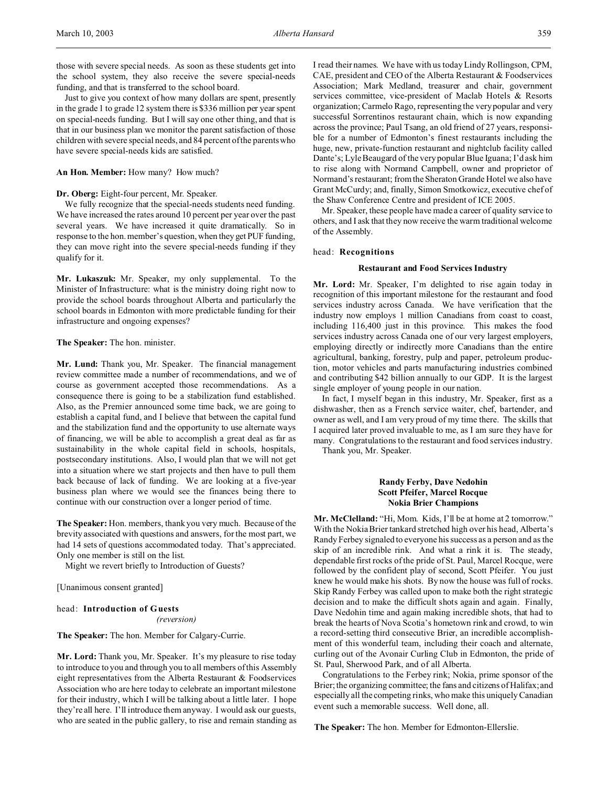those with severe special needs. As soon as these students get into the school system, they also receive the severe special-needs funding, and that is transferred to the school board.

Just to give you context of how many dollars are spent, presently in the grade 1 to grade 12 system there is \$336 million per year spent on special-needs funding. But I will say one other thing, and that is that in our business plan we monitor the parent satisfaction of those children with severe special needs, and 84 percent of the parents who have severe special-needs kids are satisfied.

## **An Hon. Member:** How many? How much?

## **Dr. Oberg:** Eight-four percent, Mr. Speaker.

We fully recognize that the special-needs students need funding. We have increased the rates around 10 percent per year over the past several years. We have increased it quite dramatically. So in response to the hon. member's question, when they get PUF funding, they can move right into the severe special-needs funding if they qualify for it.

**Mr. Lukaszuk:** Mr. Speaker, my only supplemental. To the Minister of Infrastructure: what is the ministry doing right now to provide the school boards throughout Alberta and particularly the school boards in Edmonton with more predictable funding for their infrastructure and ongoing expenses?

### **The Speaker:** The hon. minister.

**Mr. Lund:** Thank you, Mr. Speaker. The financial management review committee made a number of recommendations, and we of course as government accepted those recommendations. As a consequence there is going to be a stabilization fund established. Also, as the Premier announced some time back, we are going to establish a capital fund, and I believe that between the capital fund and the stabilization fund and the opportunity to use alternate ways of financing, we will be able to accomplish a great deal as far as sustainability in the whole capital field in schools, hospitals, postsecondary institutions. Also, I would plan that we will not get into a situation where we start projects and then have to pull them back because of lack of funding. We are looking at a five-year business plan where we would see the finances being there to continue with our construction over a longer period of time.

**The Speaker:** Hon. members, thank you very much. Because of the brevity associated with questions and answers, for the most part, we had 14 sets of questions accommodated today. That's appreciated. Only one member is still on the list.

Might we revert briefly to Introduction of Guests?

[Unanimous consent granted]

# head: **Introduction of Guests**

*(reversion)*

**The Speaker:** The hon. Member for Calgary-Currie.

**Mr. Lord:** Thank you, Mr. Speaker. It's my pleasure to rise today to introduce to you and through you to all members of this Assembly eight representatives from the Alberta Restaurant & Foodservices Association who are here today to celebrate an important milestone for their industry, which I will be talking about a little later. I hope they're all here. I'll introduce them anyway. I would ask our guests, who are seated in the public gallery, to rise and remain standing as

I read their names. We have with us today Lindy Rollingson, CPM, CAE, president and CEO of the Alberta Restaurant & Foodservices Association; Mark Medland, treasurer and chair, government services committee, vice-president of Maclab Hotels & Resorts organization; Carmelo Rago, representing the very popular and very successful Sorrentinos restaurant chain, which is now expanding across the province; Paul Tsang, an old friend of 27 years, responsible for a number of Edmonton's finest restaurants including the huge, new, private-function restaurant and nightclub facility called Dante's; Lyle Beaugard of the very popular Blue Iguana; I'd ask him to rise along with Normand Campbell, owner and proprietor of Normand's restaurant; from the Sheraton Grande Hotel we also have Grant McCurdy; and, finally, Simon Smotkowicz, executive chef of the Shaw Conference Centre and president of ICE 2005.

Mr. Speaker, these people have made a career of quality service to others, and I ask that they now receive the warm traditional welcome of the Assembly.

### head: **Recognitions**

## **Restaurant and Food Services Industry**

**Mr. Lord:** Mr. Speaker, I'm delighted to rise again today in recognition of this important milestone for the restaurant and food services industry across Canada. We have verification that the industry now employs 1 million Canadians from coast to coast, including 116,400 just in this province. This makes the food services industry across Canada one of our very largest employers, employing directly or indirectly more Canadians than the entire agricultural, banking, forestry, pulp and paper, petroleum production, motor vehicles and parts manufacturing industries combined and contributing \$42 billion annually to our GDP. It is the largest single employer of young people in our nation.

In fact, I myself began in this industry, Mr. Speaker, first as a dishwasher, then as a French service waiter, chef, bartender, and owner as well, and I am very proud of my time there. The skills that I acquired later proved invaluable to me, as I am sure they have for many. Congratulations to the restaurant and food services industry.

Thank you, Mr. Speaker.

# **Randy Ferby, Dave Nedohin Scott Pfeifer, Marcel Rocque Nokia Brier Champions**

**Mr. McClelland:** "Hi, Mom. Kids, I'll be at home at 2 tomorrow." With the Nokia Brier tankard stretched high over his head, Alberta's Randy Ferbey signaled to everyone his success as a person and as the skip of an incredible rink. And what a rink it is. The steady, dependable first rocks of the pride of St. Paul, Marcel Rocque, were followed by the confident play of second, Scott Pfeifer. You just knew he would make his shots. By now the house was full of rocks. Skip Randy Ferbey was called upon to make both the right strategic decision and to make the difficult shots again and again. Finally, Dave Nedohin time and again making incredible shots, that had to break the hearts of Nova Scotia's hometown rink and crowd, to win a record-setting third consecutive Brier, an incredible accomplishment of this wonderful team, including their coach and alternate, curling out of the Avonair Curling Club in Edmonton, the pride of St. Paul, Sherwood Park, and of all Alberta.

Congratulations to the Ferbey rink; Nokia, prime sponsor of the Brier; the organizing committee; the fans and citizens of Halifax; and especially all the competing rinks, who make this uniquely Canadian event such a memorable success. Well done, all.

**The Speaker:** The hon. Member for Edmonton-Ellerslie.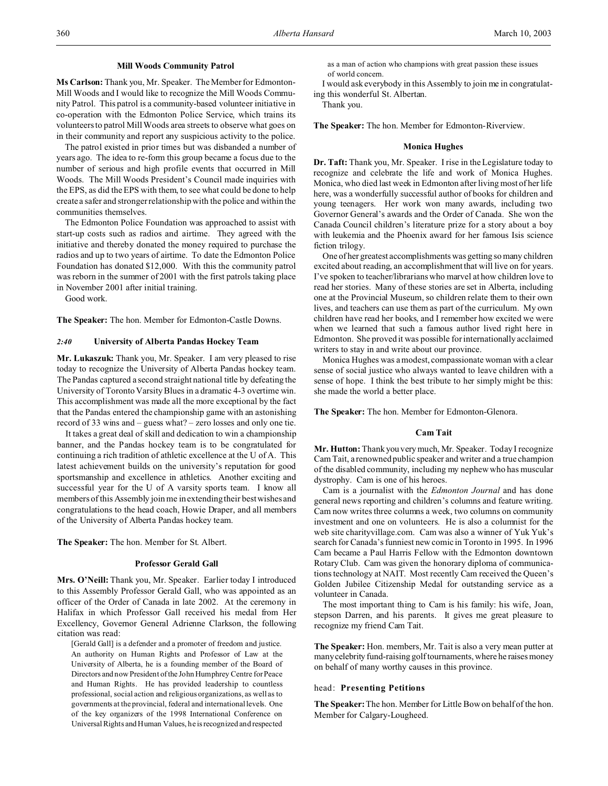#### **Mill Woods Community Patrol**

**Ms Carlson:** Thank you, Mr. Speaker. The Member for Edmonton-Mill Woods and I would like to recognize the Mill Woods Community Patrol. This patrol is a community-based volunteer initiative in co-operation with the Edmonton Police Service, which trains its volunteers to patrol Mill Woods area streets to observe what goes on in their community and report any suspicious activity to the police.

The patrol existed in prior times but was disbanded a number of years ago. The idea to re-form this group became a focus due to the number of serious and high profile events that occurred in Mill Woods. The Mill Woods President's Council made inquiries with the EPS, as did the EPS with them, to see what could be done to help create a safer and stronger relationship with the police and within the communities themselves.

The Edmonton Police Foundation was approached to assist with start-up costs such as radios and airtime. They agreed with the initiative and thereby donated the money required to purchase the radios and up to two years of airtime. To date the Edmonton Police Foundation has donated \$12,000. With this the community patrol was reborn in the summer of 2001 with the first patrols taking place in November 2001 after initial training.

Good work.

**The Speaker:** The hon. Member for Edmonton-Castle Downs.

### *2:40* **University of Alberta Pandas Hockey Team**

**Mr. Lukaszuk:** Thank you, Mr. Speaker. I am very pleased to rise today to recognize the University of Alberta Pandas hockey team. The Pandas captured a second straight national title by defeating the University of Toronto Varsity Blues in a dramatic 4-3 overtime win. This accomplishment was made all the more exceptional by the fact that the Pandas entered the championship game with an astonishing record of 33 wins and – guess what? – zero losses and only one tie.

It takes a great deal of skill and dedication to win a championship banner, and the Pandas hockey team is to be congratulated for continuing a rich tradition of athletic excellence at the U of A. This latest achievement builds on the university's reputation for good sportsmanship and excellence in athletics. Another exciting and successful year for the U of A varsity sports team. I know all members of this Assembly join me in extending their best wishes and congratulations to the head coach, Howie Draper, and all members of the University of Alberta Pandas hockey team.

**The Speaker:** The hon. Member for St. Albert.

### **Professor Gerald Gall**

**Mrs. O'Neill:** Thank you, Mr. Speaker. Earlier today I introduced to this Assembly Professor Gerald Gall, who was appointed as an officer of the Order of Canada in late 2002. At the ceremony in Halifax in which Professor Gall received his medal from Her Excellency, Governor General Adrienne Clarkson, the following citation was read:

[Gerald Gall] is a defender and a promoter of freedom and justice. An authority on Human Rights and Professor of Law at the University of Alberta, he is a founding member of the Board of Directors and now President of the John Humphrey Centre for Peace and Human Rights. He has provided leadership to countless professional, social action and religious organizations, as well as to governments at the provincial, federal and international levels. One of the key organizers of the 1998 International Conference on Universal Rights and Human Values, he is recognized and respected

as a man of action who champions with great passion these issues of world concern.

I would ask everybody in this Assembly to join me in congratulating this wonderful St. Albertan.

Thank you.

**The Speaker:** The hon. Member for Edmonton-Riverview.

#### **Monica Hughes**

**Dr. Taft:** Thank you, Mr. Speaker. I rise in the Legislature today to recognize and celebrate the life and work of Monica Hughes. Monica, who died last week in Edmonton after living most of her life here, was a wonderfully successful author of books for children and young teenagers. Her work won many awards, including two Governor General's awards and the Order of Canada. She won the Canada Council children's literature prize for a story about a boy with leukemia and the Phoenix award for her famous Isis science fiction trilogy.

One of her greatest accomplishments was getting so many children excited about reading, an accomplishment that will live on for years. I've spoken to teacher/librarians who marvel at how children love to read her stories. Many of these stories are set in Alberta, including one at the Provincial Museum, so children relate them to their own lives, and teachers can use them as part of the curriculum. My own children have read her books, and I remember how excited we were when we learned that such a famous author lived right here in Edmonton. She proved it was possible for internationally acclaimed writers to stay in and write about our province.

Monica Hughes was a modest, compassionate woman with a clear sense of social justice who always wanted to leave children with a sense of hope. I think the best tribute to her simply might be this: she made the world a better place.

**The Speaker:** The hon. Member for Edmonton-Glenora.

#### **Cam Tait**

**Mr. Hutton:** Thank you very much, Mr. Speaker. Today I recognize Cam Tait, a renowned public speaker and writer and a true champion of the disabled community, including my nephew who has muscular dystrophy. Cam is one of his heroes.

Cam is a journalist with the *Edmonton Journal* and has done general news reporting and children's columns and feature writing. Cam now writes three columns a week, two columns on community investment and one on volunteers. He is also a columnist for the web site charityvillage.com. Cam was also a winner of Yuk Yuk's search for Canada's funniest new comic in Toronto in 1995. In 1996 Cam became a Paul Harris Fellow with the Edmonton downtown Rotary Club. Cam was given the honorary diploma of communications technology at NAIT. Most recently Cam received the Queen's Golden Jubilee Citizenship Medal for outstanding service as a volunteer in Canada.

The most important thing to Cam is his family: his wife, Joan, stepson Darren, and his parents. It gives me great pleasure to recognize my friend Cam Tait.

**The Speaker:** Hon. members, Mr. Tait is also a very mean putter at manycelebrity fund-raising golf tournaments, where he raises money on behalf of many worthy causes in this province.

## head: **Presenting Petitions**

**The Speaker:**The hon. Member for Little Bow on behalf of the hon. Member for Calgary-Lougheed.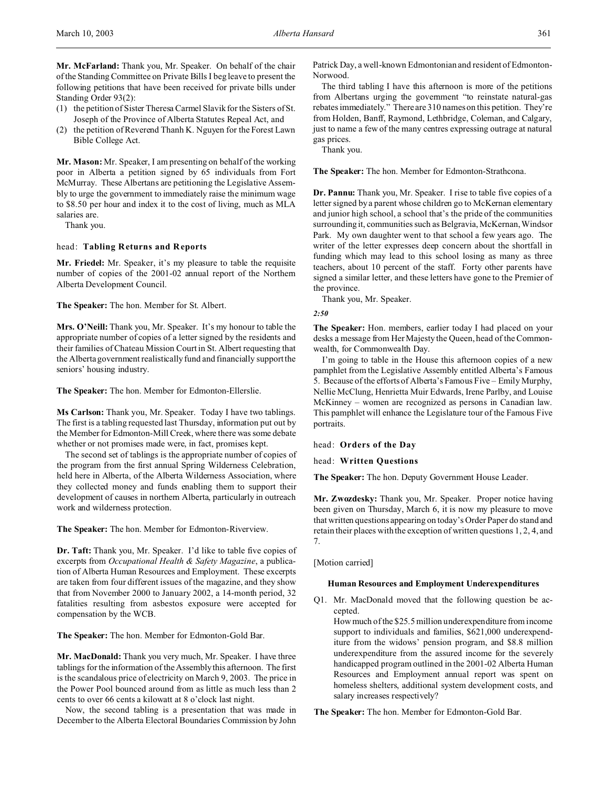**Mr. McFarland:** Thank you, Mr. Speaker. On behalf of the chair of the Standing Committee on Private Bills I beg leave to present the following petitions that have been received for private bills under Standing Order 93(2):

- (1) the petition of Sister Theresa Carmel Slavik for the Sisters of St. Joseph of the Province of Alberta Statutes Repeal Act, and
- (2) the petition of Reverend Thanh K. Nguyen for the Forest Lawn Bible College Act.

**Mr. Mason:** Mr. Speaker, I am presenting on behalf of the working poor in Alberta a petition signed by 65 individuals from Fort McMurray. These Albertans are petitioning the Legislative Assembly to urge the government to immediately raise the minimum wage to \$8.50 per hour and index it to the cost of living, much as MLA salaries are.

Thank you.

### head: **Tabling Returns and Reports**

**Mr. Friedel:** Mr. Speaker, it's my pleasure to table the requisite number of copies of the 2001-02 annual report of the Northern Alberta Development Council.

**The Speaker:** The hon. Member for St. Albert.

**Mrs. O'Neill:** Thank you, Mr. Speaker. It's my honour to table the appropriate number of copies of a letter signed by the residents and their families of Chateau Mission Court in St. Albert requesting that the Alberta government realistically fund and financially support the seniors' housing industry.

**The Speaker:** The hon. Member for Edmonton-Ellerslie.

**Ms Carlson:** Thank you, Mr. Speaker. Today I have two tablings. The first is a tabling requested last Thursday, information put out by the Member for Edmonton-Mill Creek, where there was some debate whether or not promises made were, in fact, promises kept.

The second set of tablings is the appropriate number of copies of the program from the first annual Spring Wilderness Celebration, held here in Alberta, of the Alberta Wilderness Association, where they collected money and funds enabling them to support their development of causes in northern Alberta, particularly in outreach work and wilderness protection.

**The Speaker:** The hon. Member for Edmonton-Riverview.

**Dr. Taft:** Thank you, Mr. Speaker. I'd like to table five copies of excerpts from *Occupational Health & Safety Magazine*, a publication of Alberta Human Resources and Employment. These excerpts are taken from four different issues of the magazine, and they show that from November 2000 to January 2002, a 14-month period, 32 fatalities resulting from asbestos exposure were accepted for compensation by the WCB.

**The Speaker:** The hon. Member for Edmonton-Gold Bar.

**Mr. MacDonald:** Thank you very much, Mr. Speaker. I have three tablings for the information of the Assembly this afternoon. The first is the scandalous price of electricity on March 9, 2003. The price in the Power Pool bounced around from as little as much less than 2 cents to over 66 cents a kilowatt at 8 o'clock last night.

Now, the second tabling is a presentation that was made in December to the Alberta Electoral Boundaries Commission by John

Patrick Day, a well-known Edmontonian and resident of Edmonton-Norwood.

The third tabling I have this afternoon is more of the petitions from Albertans urging the government "to reinstate natural-gas rebates immediately." There are 310 names on this petition. They're from Holden, Banff, Raymond, Lethbridge, Coleman, and Calgary, just to name a few of the many centres expressing outrage at natural gas prices.

Thank you.

**The Speaker:** The hon. Member for Edmonton-Strathcona.

**Dr. Pannu:** Thank you, Mr. Speaker. I rise to table five copies of a letter signed by a parent whose children go to McKernan elementary and junior high school, a school that's the pride of the communities surrounding it, communities such as Belgravia, McKernan, Windsor Park. My own daughter went to that school a few years ago. The writer of the letter expresses deep concern about the shortfall in funding which may lead to this school losing as many as three teachers, about 10 percent of the staff. Forty other parents have signed a similar letter, and these letters have gone to the Premier of the province.

Thank you, Mr. Speaker.

*2:50*

**The Speaker:** Hon. members, earlier today I had placed on your desks a message from Her Majesty the Queen, head of the Commonwealth, for Commonwealth Day.

I'm going to table in the House this afternoon copies of a new pamphlet from the Legislative Assembly entitled Alberta's Famous 5. Because of the efforts of Alberta's Famous Five – Emily Murphy, Nellie McClung, Henrietta Muir Edwards, Irene Parlby, and Louise McKinney – women are recognized as persons in Canadian law. This pamphlet will enhance the Legislature tour of the Famous Five portraits.

head: **Orders of the Day**

head: **Written Questions**

**The Speaker:** The hon. Deputy Government House Leader.

**Mr. Zwozdesky:** Thank you, Mr. Speaker. Proper notice having been given on Thursday, March 6, it is now my pleasure to move that written questions appearing on today's Order Paper do stand and retain their places with the exception of written questions 1, 2, 4, and 7.

[Motion carried]

# **Human Resources and Employment Underexpenditures**

Q1. Mr. MacDonald moved that the following question be accepted.

How much of the \$25.5 million underexpenditure from income support to individuals and families, \$621,000 underexpenditure from the widows' pension program, and \$8.8 million underexpenditure from the assured income for the severely handicapped program outlined in the 2001-02 Alberta Human Resources and Employment annual report was spent on homeless shelters, additional system development costs, and salary increases respectively?

**The Speaker:** The hon. Member for Edmonton-Gold Bar.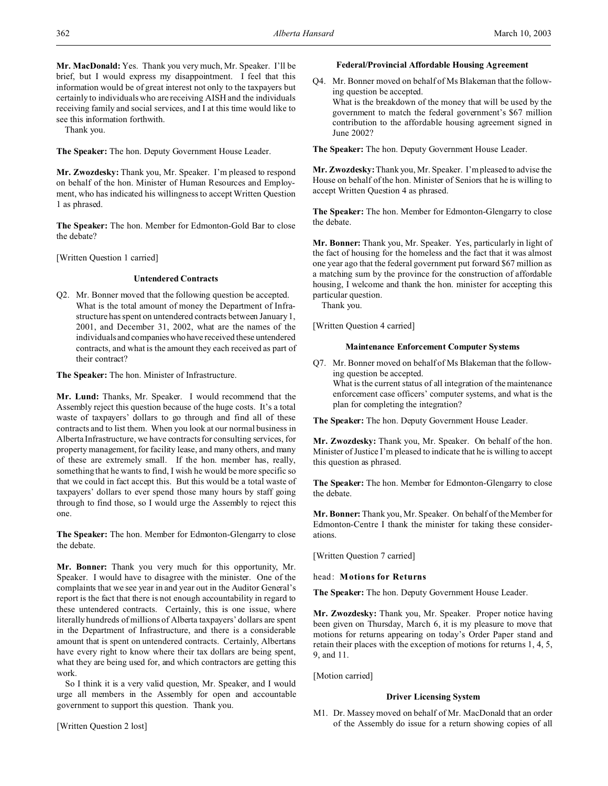**Mr. MacDonald:** Yes. Thank you very much, Mr. Speaker. I'll be brief, but I would express my disappointment. I feel that this information would be of great interest not only to the taxpayers but certainly to individuals who are receiving AISH and the individuals receiving family and social services, and I at this time would like to see this information forthwith.

Thank you.

**The Speaker:** The hon. Deputy Government House Leader.

**Mr. Zwozdesky:** Thank you, Mr. Speaker. I'm pleased to respond on behalf of the hon. Minister of Human Resources and Employment, who has indicated his willingness to accept Written Question 1 as phrased.

**The Speaker:** The hon. Member for Edmonton-Gold Bar to close the debate?

[Written Question 1 carried]

## **Untendered Contracts**

Q2. Mr. Bonner moved that the following question be accepted. What is the total amount of money the Department of Infrastructure has spent on untendered contracts between January 1, 2001, and December 31, 2002, what are the names of the individuals and companies who have received these untendered contracts, and what is the amount they each received as part of their contract?

**The Speaker:** The hon. Minister of Infrastructure.

**Mr. Lund:** Thanks, Mr. Speaker. I would recommend that the Assembly reject this question because of the huge costs. It's a total waste of taxpayers' dollars to go through and find all of these contracts and to list them. When you look at our normal business in Alberta Infrastructure, we have contracts for consulting services, for property management, for facility lease, and many others, and many of these are extremely small. If the hon. member has, really, something that he wants to find, I wish he would be more specific so that we could in fact accept this. But this would be a total waste of taxpayers' dollars to ever spend those many hours by staff going through to find those, so I would urge the Assembly to reject this one.

**The Speaker:** The hon. Member for Edmonton-Glengarry to close the debate.

**Mr. Bonner:** Thank you very much for this opportunity, Mr. Speaker. I would have to disagree with the minister. One of the complaints that we see year in and year out in the Auditor General's report is the fact that there is not enough accountability in regard to these untendered contracts. Certainly, this is one issue, where literally hundreds of millions of Alberta taxpayers' dollars are spent in the Department of Infrastructure, and there is a considerable amount that is spent on untendered contracts. Certainly, Albertans have every right to know where their tax dollars are being spent, what they are being used for, and which contractors are getting this work.

So I think it is a very valid question, Mr. Speaker, and I would urge all members in the Assembly for open and accountable government to support this question. Thank you.

[Written Question 2 lost]

### **Federal/Provincial Affordable Housing Agreement**

Q4. Mr. Bonner moved on behalf of Ms Blakeman that the following question be accepted. What is the breakdown of the money that will be used by the government to match the federal government's \$67 million contribution to the affordable housing agreement signed in June 2002?

**The Speaker:** The hon. Deputy Government House Leader.

**Mr. Zwozdesky:**Thank you, Mr. Speaker. I'm pleased to advise the House on behalf of the hon. Minister of Seniors that he is willing to accept Written Question 4 as phrased.

**The Speaker:** The hon. Member for Edmonton-Glengarry to close the debate.

**Mr. Bonner:** Thank you, Mr. Speaker. Yes, particularly in light of the fact of housing for the homeless and the fact that it was almost one year ago that the federal government put forward \$67 million as a matching sum by the province for the construction of affordable housing, I welcome and thank the hon. minister for accepting this particular question.

Thank you.

[Written Question 4 carried]

# **Maintenance Enforcement Computer Systems**

Q7. Mr. Bonner moved on behalf of Ms Blakeman that the following question be accepted.

What is the current status of all integration of the maintenance enforcement case officers' computer systems, and what is the plan for completing the integration?

**The Speaker:** The hon. Deputy Government House Leader.

**Mr. Zwozdesky:** Thank you, Mr. Speaker. On behalf of the hon. Minister of Justice I'm pleased to indicate that he is willing to accept this question as phrased.

**The Speaker:** The hon. Member for Edmonton-Glengarry to close the debate.

**Mr. Bonner:** Thank you, Mr. Speaker. On behalf of the Member for Edmonton-Centre I thank the minister for taking these considerations.

[Written Question 7 carried]

head: **Motions for Returns**

**The Speaker:** The hon. Deputy Government House Leader.

**Mr. Zwozdesky:** Thank you, Mr. Speaker. Proper notice having been given on Thursday, March 6, it is my pleasure to move that motions for returns appearing on today's Order Paper stand and retain their places with the exception of motions for returns 1, 4, 5, 9, and 11.

[Motion carried]

#### **Driver Licensing System**

M1. Dr. Massey moved on behalf of Mr. MacDonald that an order of the Assembly do issue for a return showing copies of all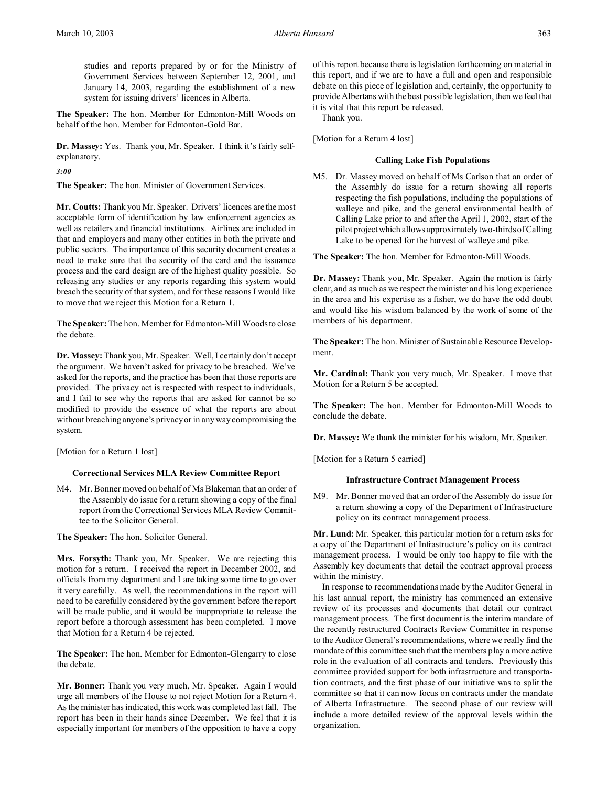studies and reports prepared by or for the Ministry of Government Services between September 12, 2001, and January 14, 2003, regarding the establishment of a new system for issuing drivers' licences in Alberta.

**The Speaker:** The hon. Member for Edmonton-Mill Woods on behalf of the hon. Member for Edmonton-Gold Bar.

**Dr. Massey:** Yes. Thank you, Mr. Speaker. I think it's fairly selfexplanatory.

*3:00*

**The Speaker:** The hon. Minister of Government Services.

**Mr. Coutts:** Thank you Mr. Speaker. Drivers' licences are the most acceptable form of identification by law enforcement agencies as well as retailers and financial institutions. Airlines are included in that and employers and many other entities in both the private and public sectors. The importance of this security document creates a need to make sure that the security of the card and the issuance process and the card design are of the highest quality possible. So releasing any studies or any reports regarding this system would breach the security of that system, and for these reasons I would like to move that we reject this Motion for a Return 1.

**The Speaker:** The hon. Member for Edmonton-Mill Woods to close the debate.

**Dr. Massey:**Thank you, Mr. Speaker. Well, I certainly don't accept the argument. We haven't asked for privacy to be breached. We've asked for the reports, and the practice has been that those reports are provided. The privacy act is respected with respect to individuals, and I fail to see why the reports that are asked for cannot be so modified to provide the essence of what the reports are about without breaching anyone's privacy or in any way compromising the system.

[Motion for a Return 1 lost]

# **Correctional Services MLA Review Committee Report**

M4. Mr. Bonner moved on behalf of Ms Blakeman that an order of the Assembly do issue for a return showing a copy of the final report from the Correctional Services MLA Review Committee to the Solicitor General.

**The Speaker:** The hon. Solicitor General.

**Mrs. Forsyth:** Thank you, Mr. Speaker. We are rejecting this motion for a return. I received the report in December 2002, and officials from my department and I are taking some time to go over it very carefully. As well, the recommendations in the report will need to be carefully considered by the government before the report will be made public, and it would be inappropriate to release the report before a thorough assessment has been completed. I move that Motion for a Return 4 be rejected.

**The Speaker:** The hon. Member for Edmonton-Glengarry to close the debate.

**Mr. Bonner:** Thank you very much, Mr. Speaker. Again I would urge all members of the House to not reject Motion for a Return 4. As the minister has indicated, this work was completed last fall. The report has been in their hands since December. We feel that it is especially important for members of the opposition to have a copy

of this report because there is legislation forthcoming on material in this report, and if we are to have a full and open and responsible debate on this piece of legislation and, certainly, the opportunity to provide Albertans with the best possible legislation, then we feel that it is vital that this report be released.

Thank you.

[Motion for a Return 4 lost]

## **Calling Lake Fish Populations**

M5. Dr. Massey moved on behalf of Ms Carlson that an order of the Assembly do issue for a return showing all reports respecting the fish populations, including the populations of walleye and pike, and the general environmental health of Calling Lake prior to and after the April 1, 2002, start of the pilot projectwhich allows approximately two-thirds of Calling Lake to be opened for the harvest of walleye and pike.

**The Speaker:** The hon. Member for Edmonton-Mill Woods.

**Dr. Massey:** Thank you, Mr. Speaker. Again the motion is fairly clear, and as much as we respect the minister and his long experience in the area and his expertise as a fisher, we do have the odd doubt and would like his wisdom balanced by the work of some of the members of his department.

**The Speaker:** The hon. Minister of Sustainable Resource Development.

**Mr. Cardinal:** Thank you very much, Mr. Speaker. I move that Motion for a Return 5 be accepted.

**The Speaker:** The hon. Member for Edmonton-Mill Woods to conclude the debate.

**Dr. Massey:** We thank the minister for his wisdom, Mr. Speaker.

[Motion for a Return 5 carried]

### **Infrastructure Contract Management Process**

M9. Mr. Bonner moved that an order of the Assembly do issue for a return showing a copy of the Department of Infrastructure policy on its contract management process.

**Mr. Lund:** Mr. Speaker, this particular motion for a return asks for a copy of the Department of Infrastructure's policy on its contract management process. I would be only too happy to file with the Assembly key documents that detail the contract approval process within the ministry.

In response to recommendations made by the Auditor General in his last annual report, the ministry has commenced an extensive review of its processes and documents that detail our contract management process. The first document is the interim mandate of the recently restructured Contracts Review Committee in response to the Auditor General's recommendations, where we really find the mandate of this committee such that the members play a more active role in the evaluation of all contracts and tenders. Previously this committee provided support for both infrastructure and transportation contracts, and the first phase of our initiative was to split the committee so that it can now focus on contracts under the mandate of Alberta Infrastructure. The second phase of our review will include a more detailed review of the approval levels within the organization.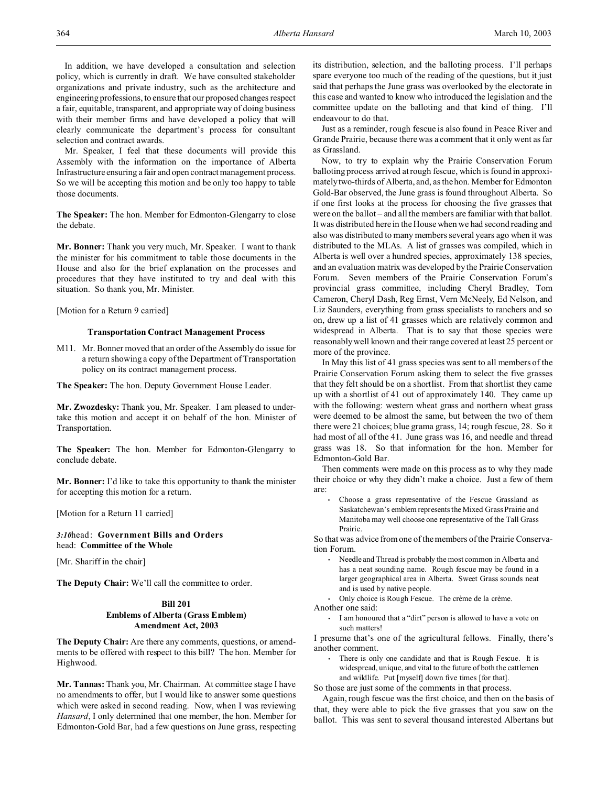In addition, we have developed a consultation and selection policy, which is currently in draft. We have consulted stakeholder organizations and private industry, such as the architecture and engineering professions, to ensure that our proposed changes respect a fair, equitable, transparent, and appropriate way of doing business with their member firms and have developed a policy that will clearly communicate the department's process for consultant selection and contract awards.

Mr. Speaker, I feel that these documents will provide this Assembly with the information on the importance of Alberta Infrastructure ensuring a fair and open contract management process. So we will be accepting this motion and be only too happy to table those documents.

**The Speaker:** The hon. Member for Edmonton-Glengarry to close the debate.

**Mr. Bonner:** Thank you very much, Mr. Speaker. I want to thank the minister for his commitment to table those documents in the House and also for the brief explanation on the processes and procedures that they have instituted to try and deal with this situation. So thank you, Mr. Minister.

[Motion for a Return 9 carried]

### **Transportation Contract Management Process**

M11. Mr. Bonner moved that an order of the Assembly do issue for a return showing a copy of the Department of Transportation policy on its contract management process.

**The Speaker:** The hon. Deputy Government House Leader.

**Mr. Zwozdesky:** Thank you, Mr. Speaker. I am pleased to undertake this motion and accept it on behalf of the hon. Minister of Transportation.

**The Speaker:** The hon. Member for Edmonton-Glengarry to conclude debate.

**Mr. Bonner:** I'd like to take this opportunity to thank the minister for accepting this motion for a return.

[Motion for a Return 11 carried]

*3:10*head: **Government Bills and Orders** head: **Committee of the Whole**

[Mr. Shariff in the chair]

**The Deputy Chair:** We'll call the committee to order.

## **Bill 201 Emblems of Alberta (Grass Emblem) Amendment Act, 2003**

**The Deputy Chair:** Are there any comments, questions, or amendments to be offered with respect to this bill? The hon. Member for Highwood.

**Mr. Tannas:** Thank you, Mr. Chairman. At committee stage I have no amendments to offer, but I would like to answer some questions which were asked in second reading. Now, when I was reviewing *Hansard*, I only determined that one member, the hon. Member for Edmonton-Gold Bar, had a few questions on June grass, respecting its distribution, selection, and the balloting process. I'll perhaps spare everyone too much of the reading of the questions, but it just said that perhaps the June grass was overlooked by the electorate in this case and wanted to know who introduced the legislation and the committee update on the balloting and that kind of thing. I'll endeavour to do that.

Just as a reminder, rough fescue is also found in Peace River and Grande Prairie, because there was a comment that it only went as far as Grassland.

Now, to try to explain why the Prairie Conservation Forum balloting process arrived at rough fescue, which is found in approximately two-thirds of Alberta, and, as the hon. Member for Edmonton Gold-Bar observed, the June grass is found throughout Alberta. So if one first looks at the process for choosing the five grasses that were on the ballot – and all the members are familiar with that ballot. It was distributed here in the House when we had second reading and also was distributed to many members several years ago when it was distributed to the MLAs. A list of grasses was compiled, which in Alberta is well over a hundred species, approximately 138 species, and an evaluation matrix was developed by the Prairie Conservation Forum. Seven members of the Prairie Conservation Forum's provincial grass committee, including Cheryl Bradley, Tom Cameron, Cheryl Dash, Reg Ernst, Vern McNeely, Ed Nelson, and Liz Saunders, everything from grass specialists to ranchers and so on, drew up a list of 41 grasses which are relatively common and widespread in Alberta. That is to say that those species were reasonably well known and their range covered at least 25 percent or more of the province.

In May this list of 41 grass species was sent to all members of the Prairie Conservation Forum asking them to select the five grasses that they felt should be on a shortlist. From that shortlist they came up with a shortlist of 41 out of approximately 140. They came up with the following: western wheat grass and northern wheat grass were deemed to be almost the same, but between the two of them there were 21 choices; blue grama grass, 14; rough fescue, 28. So it had most of all of the 41. June grass was 16, and needle and thread grass was 18. So that information for the hon. Member for Edmonton-Gold Bar.

Then comments were made on this process as to why they made their choice or why they didn't make a choice. Just a few of them are:

• Choose a grass representative of the Fescue Grassland as Saskatchewan's emblem represents the Mixed Grass Prairie and Manitoba may well choose one representative of the Tall Grass Prairie.

So that was advice from one of the members of the Prairie Conservation Forum.

- Needle and Thread is probably the most common in Alberta and has a neat sounding name. Rough fescue may be found in a larger geographical area in Alberta. Sweet Grass sounds neat and is used by native people.
- Only choice is Rough Fescue. The crème de la crème. Another one said:
	- I am honoured that a "dirt" person is allowed to have a vote on
	- such matters!

I presume that's one of the agricultural fellows. Finally, there's another comment.

• There is only one candidate and that is Rough Fescue. It is widespread, unique, and vital to the future of both the cattlemen and wildlife. Put [myself] down five times [for that].

So those are just some of the comments in that process.

Again, rough fescue was the first choice, and then on the basis of that, they were able to pick the five grasses that you saw on the ballot. This was sent to several thousand interested Albertans but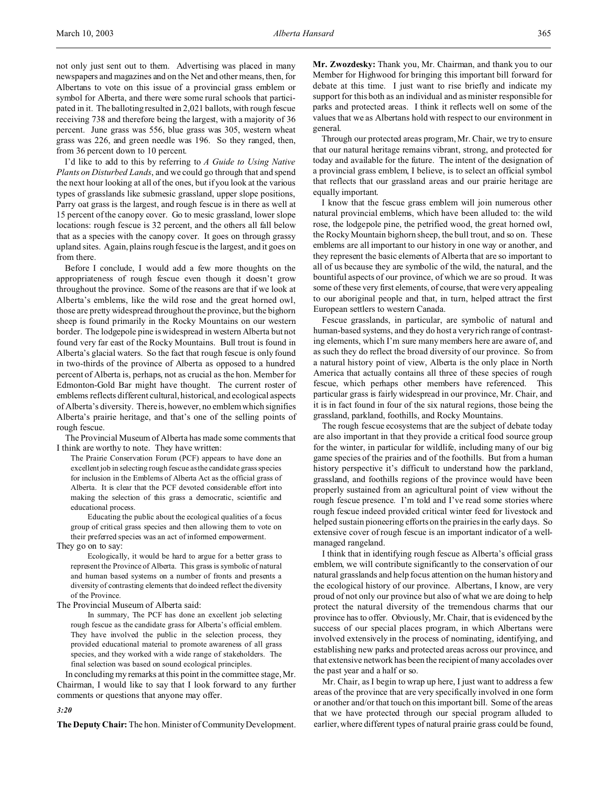not only just sent out to them. Advertising was placed in many newspapers and magazines and on the Net and other means, then, for Albertans to vote on this issue of a provincial grass emblem or symbol for Alberta, and there were some rural schools that participated in it. The balloting resulted in 2,021 ballots, with rough fescue receiving 738 and therefore being the largest, with a majority of 36 percent. June grass was 556, blue grass was 305, western wheat grass was 226, and green needle was 196. So they ranged, then, from 36 percent down to 10 percent.

I'd like to add to this by referring to *A Guide to Using Native Plants on Disturbed Lands*, and we could go through that and spend the next hour looking at all of the ones, but if you look at the various types of grasslands like submesic grassland, upper slope positions, Parry oat grass is the largest, and rough fescue is in there as well at 15 percent of the canopy cover. Go to mesic grassland, lower slope locations: rough fescue is 32 percent, and the others all fall below that as a species with the canopy cover. It goes on through grassy upland sites. Again, plains rough fescue is the largest, and it goes on from there.

Before I conclude, I would add a few more thoughts on the appropriateness of rough fescue even though it doesn't grow throughout the province. Some of the reasons are that if we look at Alberta's emblems, like the wild rose and the great horned owl, those are pretty widespread throughout the province, but the bighorn sheep is found primarily in the Rocky Mountains on our western border. The lodgepole pine is widespread in western Alberta but not found very far east of the Rocky Mountains. Bull trout is found in Alberta's glacial waters. So the fact that rough fescue is only found in two-thirds of the province of Alberta as opposed to a hundred percent of Alberta is, perhaps, not as crucial as the hon. Member for Edmonton-Gold Bar might have thought. The current roster of emblems reflects different cultural, historical, and ecological aspects of Alberta's diversity. There is, however, no emblem which signifies Alberta's prairie heritage, and that's one of the selling points of rough fescue.

The Provincial Museum of Alberta has made some comments that I think are worthy to note. They have written:

The Prairie Conservation Forum (PCF) appears to have done an excellent job in selecting rough fescue as the candidate grass species for inclusion in the Emblems of Alberta Act as the official grass of Alberta. It is clear that the PCF devoted considerable effort into making the selection of this grass a democratic, scientific and educational process.

Educating the public about the ecological qualities of a focus group of critical grass species and then allowing them to vote on their preferred species was an act of informed empowerment.

They go on to say:

Ecologically, it would be hard to argue for a better grass to represent the Province of Alberta. This grass is symbolic of natural and human based systems on a number of fronts and presents a diversity of contrasting elements that do indeed reflect the diversity of the Province.

The Provincial Museum of Alberta said:

In summary, The PCF has done an excellent job selecting rough fescue as the candidate grass for Alberta's official emblem. They have involved the public in the selection process, they provided educational material to promote awareness of all grass species, and they worked with a wide range of stakeholders. The final selection was based on sound ecological principles.

In concluding my remarks at this point in the committee stage, Mr. Chairman, I would like to say that I look forward to any further comments or questions that anyone may offer.

**Mr. Zwozdesky:** Thank you, Mr. Chairman, and thank you to our Member for Highwood for bringing this important bill forward for debate at this time. I just want to rise briefly and indicate my support for this both as an individual and as minister responsible for parks and protected areas. I think it reflects well on some of the values that we as Albertans hold with respect to our environment in general.

Through our protected areas program, Mr. Chair, we try to ensure that our natural heritage remains vibrant, strong, and protected for today and available for the future. The intent of the designation of a provincial grass emblem, I believe, is to select an official symbol that reflects that our grassland areas and our prairie heritage are equally important.

I know that the fescue grass emblem will join numerous other natural provincial emblems, which have been alluded to: the wild rose, the lodgepole pine, the petrified wood, the great horned owl, the Rocky Mountain bighorn sheep, the bull trout, and so on. These emblems are all important to our history in one way or another, and they represent the basic elements of Alberta that are so important to all of us because they are symbolic of the wild, the natural, and the bountiful aspects of our province, of which we are so proud. It was some of these very first elements, of course, that were very appealing to our aboriginal people and that, in turn, helped attract the first European settlers to western Canada.

Fescue grasslands, in particular, are symbolic of natural and human-based systems, and they do host a very rich range of contrasting elements, which I'm sure many members here are aware of, and as such they do reflect the broad diversity of our province. So from a natural history point of view, Alberta is the only place in North America that actually contains all three of these species of rough fescue, which perhaps other members have referenced. This particular grass is fairly widespread in our province, Mr. Chair, and it is in fact found in four of the six natural regions, those being the grassland, parkland, foothills, and Rocky Mountains.

The rough fescue ecosystems that are the subject of debate today are also important in that they provide a critical food source group for the winter, in particular for wildlife, including many of our big game species of the prairies and of the foothills. But from a human history perspective it's difficult to understand how the parkland, grassland, and foothills regions of the province would have been properly sustained from an agricultural point of view without the rough fescue presence. I'm told and I've read some stories where rough fescue indeed provided critical winter feed for livestock and helped sustain pioneering efforts on the prairies in the early days. So extensive cover of rough fescue is an important indicator of a wellmanaged rangeland.

I think that in identifying rough fescue as Alberta's official grass emblem, we will contribute significantly to the conservation of our natural grasslands and help focus attention on the human history and the ecological history of our province. Albertans, I know, are very proud of not only our province but also of what we are doing to help protect the natural diversity of the tremendous charms that our province has to offer. Obviously, Mr. Chair, that is evidenced by the success of our special places program, in which Albertans were involved extensively in the process of nominating, identifying, and establishing new parks and protected areas across our province, and that extensive network has been the recipient of many accolades over the past year and a half or so.

Mr. Chair, as I begin to wrap up here, I just want to address a few areas of the province that are very specifically involved in one form or another and/or that touch on this important bill. Some of the areas that we have protected through our special program alluded to earlier, where different types of natural prairie grass could be found,

*3:20*

**The Deputy Chair:** The hon. Minister of Community Development.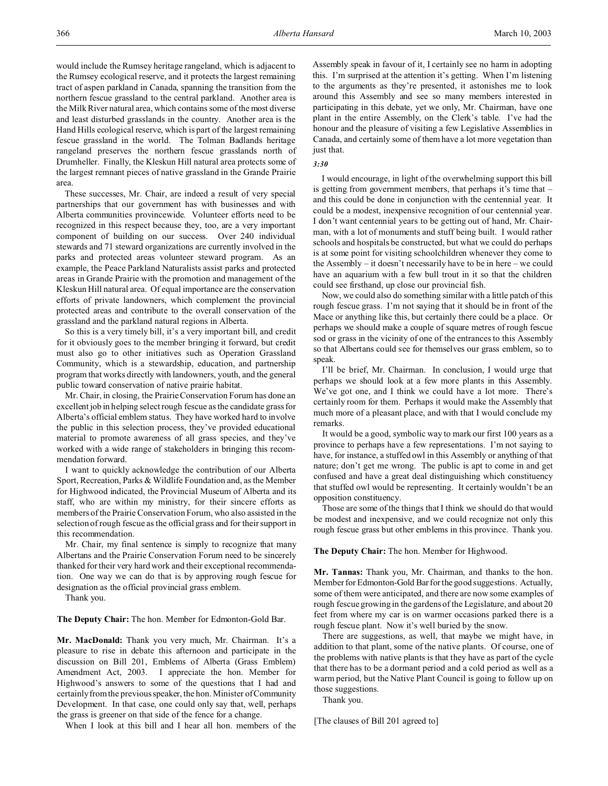would include the Rumsey heritage rangeland, which is adjacent to the Rumsey ecological reserve, and it protects the largest remaining tract of aspen parkland in Canada, spanning the transition from the northern fescue grassland to the central parkland. Another area is the Milk River natural area, which contains some of the most diverse and least disturbed grasslands in the country. Another area is the Hand Hills ecological reserve, which is part of the largest remaining fescue grassland in the world. The Tolman Badlands heritage rangeland preserves the northern fescue grasslands north of Drumheller. Finally, the Kleskun Hill natural area protects some of the largest remnant pieces of native grassland in the Grande Prairie area.

These successes, Mr. Chair, are indeed a result of very special partnerships that our government has with businesses and with Alberta communities provincewide. Volunteer efforts need to be recognized in this respect because they, too, are a very important component of building on our success. Over 240 individual stewards and 71 steward organizations are currently involved in the parks and protected areas volunteer steward program. As an example, the Peace Parkland Naturalists assist parks and protected areas in Grande Prairie with the promotion and management of the Kleskun Hill natural area. Of equal importance are the conservation efforts of private landowners, which complement the provincial protected areas and contribute to the overall conservation of the grassland and the parkland natural regions in Alberta.

So this is a very timely bill, it's a very important bill, and credit for it obviously goes to the member bringing it forward, but credit must also go to other initiatives such as Operation Grassland Community, which is a stewardship, education, and partnership program that works directly with landowners, youth, and the general public toward conservation of native prairie habitat.

Mr. Chair, in closing, the Prairie Conservation Forum has done an excellent job in helping select rough fescue as the candidate grass for Alberta's official emblem status. They have worked hard to involve the public in this selection process, they've provided educational material to promote awareness of all grass species, and they've worked with a wide range of stakeholders in bringing this recommendation forward.

I want to quickly acknowledge the contribution of our Alberta Sport, Recreation, Parks & Wildlife Foundation and, as the Member for Highwood indicated, the Provincial Museum of Alberta and its staff, who are within my ministry, for their sincere efforts as members of the Prairie Conservation Forum, who also assisted in the selection of rough fescue as the official grass and for their support in this recommendation.

Mr. Chair, my final sentence is simply to recognize that many Albertans and the Prairie Conservation Forum need to be sincerely thanked for their very hard work and their exceptional recommendation. One way we can do that is by approving rough fescue for designation as the official provincial grass emblem.

Thank you.

**The Deputy Chair:** The hon. Member for Edmonton-Gold Bar.

**Mr. MacDonald:** Thank you very much, Mr. Chairman. It's a pleasure to rise in debate this afternoon and participate in the discussion on Bill 201, Emblems of Alberta (Grass Emblem) Amendment Act, 2003. I appreciate the hon. Member for Highwood's answers to some of the questions that I had and certainly from the previous speaker, the hon. Minister of Community Development. In that case, one could only say that, well, perhaps the grass is greener on that side of the fence for a change.

When I look at this bill and I hear all hon. members of the

Assembly speak in favour of it, I certainly see no harm in adopting this. I'm surprised at the attention it's getting. When I'm listening to the arguments as they're presented, it astonishes me to look around this Assembly and see so many members interested in participating in this debate, yet we only, Mr. Chairman, have one plant in the entire Assembly, on the Clerk's table. I've had the honour and the pleasure of visiting a few Legislative Assemblies in Canada, and certainly some of them have a lot more vegetation than just that.

## *3:30*

I would encourage, in light of the overwhelming support this bill is getting from government members, that perhaps it's time that – and this could be done in conjunction with the centennial year. It could be a modest, inexpensive recognition of our centennial year. I don't want centennial years to be getting out of hand, Mr. Chairman, with a lot of monuments and stuff being built. I would rather schools and hospitals be constructed, but what we could do perhaps is at some point for visiting schoolchildren whenever they come to the Assembly – it doesn't necessarily have to be in here – we could have an aquarium with a few bull trout in it so that the children could see firsthand, up close our provincial fish.

Now, we could also do something similar with a little patch of this rough fescue grass. I'm not saying that it should be in front of the Mace or anything like this, but certainly there could be a place. Or perhaps we should make a couple of square metres of rough fescue sod or grass in the vicinity of one of the entrances to this Assembly so that Albertans could see for themselves our grass emblem, so to speak.

I'll be brief, Mr. Chairman. In conclusion, I would urge that perhaps we should look at a few more plants in this Assembly. We've got one, and I think we could have a lot more. There's certainly room for them. Perhaps it would make the Assembly that much more of a pleasant place, and with that I would conclude my remarks.

It would be a good, symbolic way to mark our first 100 years as a province to perhaps have a few representations. I'm not saying to have, for instance, a stuffed owl in this Assembly or anything of that nature; don't get me wrong. The public is apt to come in and get confused and have a great deal distinguishing which constituency that stuffed owl would be representing. It certainly wouldn't be an opposition constituency.

Those are some of the things that I think we should do that would be modest and inexpensive, and we could recognize not only this rough fescue grass but other emblems in this province. Thank you.

#### **The Deputy Chair:** The hon. Member for Highwood.

**Mr. Tannas:** Thank you, Mr. Chairman, and thanks to the hon. Member for Edmonton-Gold Bar for the good suggestions. Actually, some of them were anticipated, and there are now some examples of rough fescue growing in the gardens of the Legislature, and about 20 feet from where my car is on warmer occasions parked there is a rough fescue plant. Now it's well buried by the snow.

There are suggestions, as well, that maybe we might have, in addition to that plant, some of the native plants. Of course, one of the problems with native plants is that they have as part of the cycle that there has to be a dormant period and a cold period as well as a warm period, but the Native Plant Council is going to follow up on those suggestions.

Thank you.

[The clauses of Bill 201 agreed to]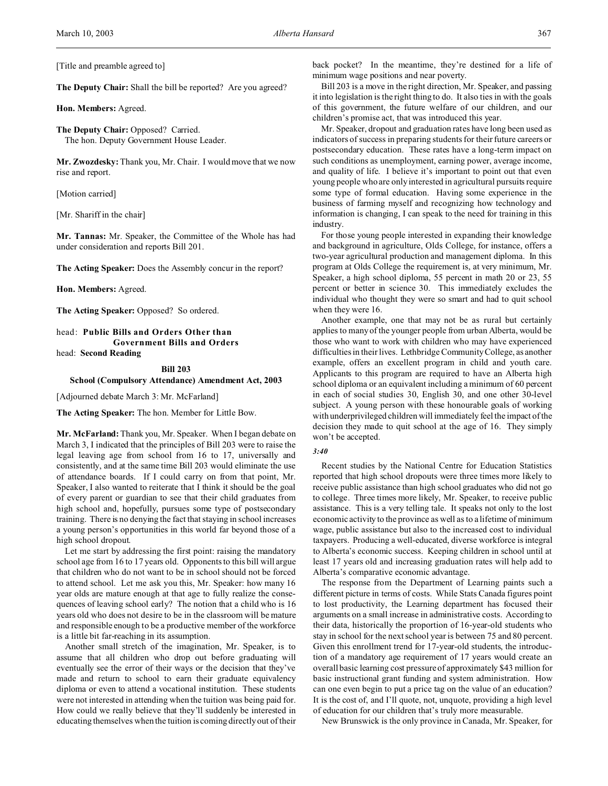[Title and preamble agreed to]

**The Deputy Chair:** Shall the bill be reported? Are you agreed?

**Hon. Members:** Agreed.

**The Deputy Chair:** Opposed? Carried. The hon. Deputy Government House Leader.

**Mr. Zwozdesky:** Thank you, Mr. Chair. I would move that we now rise and report.

[Motion carried]

[Mr. Shariff in the chair]

**Mr. Tannas:** Mr. Speaker, the Committee of the Whole has had under consideration and reports Bill 201.

**The Acting Speaker:** Does the Assembly concur in the report?

**Hon. Members:** Agreed.

**The Acting Speaker:** Opposed? So ordered.

head: **Public Bills and Orders Other than Government Bills and Orders**

head: **Second Reading**

# **Bill 203**

**School (Compulsory Attendance) Amendment Act, 2003**

[Adjourned debate March 3: Mr. McFarland]

**The Acting Speaker:** The hon. Member for Little Bow.

**Mr. McFarland:** Thank you, Mr. Speaker. When I began debate on March 3, I indicated that the principles of Bill 203 were to raise the legal leaving age from school from 16 to 17, universally and consistently, and at the same time Bill 203 would eliminate the use of attendance boards. If I could carry on from that point, Mr. Speaker, I also wanted to reiterate that I think it should be the goal of every parent or guardian to see that their child graduates from high school and, hopefully, pursues some type of postsecondary training. There is no denying the fact that staying in school increases a young person's opportunities in this world far beyond those of a high school dropout.

Let me start by addressing the first point: raising the mandatory school age from 16 to 17 years old. Opponents to this bill will argue that children who do not want to be in school should not be forced to attend school. Let me ask you this, Mr. Speaker: how many 16 year olds are mature enough at that age to fully realize the consequences of leaving school early? The notion that a child who is 16 years old who does not desire to be in the classroom will be mature and responsible enough to be a productive member of the workforce is a little bit far-reaching in its assumption.

Another small stretch of the imagination, Mr. Speaker, is to assume that all children who drop out before graduating will eventually see the error of their ways or the decision that they've made and return to school to earn their graduate equivalency diploma or even to attend a vocational institution. These students were not interested in attending when the tuition was being paid for. How could we really believe that they'll suddenly be interested in educating themselves when the tuition is coming directly out of their back pocket? In the meantime, they're destined for a life of minimum wage positions and near poverty.

Bill 203 is a move in the right direction, Mr. Speaker, and passing it into legislation is the right thing to do. It also ties in with the goals of this government, the future welfare of our children, and our children's promise act, that was introduced this year.

Mr. Speaker, dropout and graduation rates have long been used as indicators of success in preparing students for their future careers or postsecondary education. These rates have a long-term impact on such conditions as unemployment, earning power, average income, and quality of life. I believe it's important to point out that even young people who are only interested in agricultural pursuits require some type of formal education. Having some experience in the business of farming myself and recognizing how technology and information is changing, I can speak to the need for training in this industry.

For those young people interested in expanding their knowledge and background in agriculture, Olds College, for instance, offers a two-year agricultural production and management diploma. In this program at Olds College the requirement is, at very minimum, Mr. Speaker, a high school diploma, 55 percent in math 20 or 23, 55 percent or better in science 30. This immediately excludes the individual who thought they were so smart and had to quit school when they were 16.

Another example, one that may not be as rural but certainly applies to many of the younger people from urban Alberta, would be those who want to work with children who may have experienced difficulties in their lives. Lethbridge Community College, as another example, offers an excellent program in child and youth care. Applicants to this program are required to have an Alberta high school diploma or an equivalent including a minimum of 60 percent in each of social studies 30, English 30, and one other 30-level subject. A young person with these honourable goals of working with underprivileged children will immediately feel the impact of the decision they made to quit school at the age of 16. They simply won't be accepted.

# *3:40*

Recent studies by the National Centre for Education Statistics reported that high school dropouts were three times more likely to receive public assistance than high school graduates who did not go to college. Three times more likely, Mr. Speaker, to receive public assistance. This is a very telling tale. It speaks not only to the lost economic activity to the province as well as to a lifetime of minimum wage, public assistance but also to the increased cost to individual taxpayers. Producing a well-educated, diverse workforce is integral to Alberta's economic success. Keeping children in school until at least 17 years old and increasing graduation rates will help add to Alberta's comparative economic advantage.

The response from the Department of Learning paints such a different picture in terms of costs. While Stats Canada figures point to lost productivity, the Learning department has focused their arguments on a small increase in administrative costs. According to their data, historically the proportion of 16-year-old students who stay in school for the next school year is between 75 and 80 percent. Given this enrollment trend for 17-year-old students, the introduction of a mandatory age requirement of 17 years would create an overall basic learning cost pressure of approximately \$43 million for basic instructional grant funding and system administration. How can one even begin to put a price tag on the value of an education? It is the cost of, and I'll quote, not, unquote, providing a high level of education for our children that's truly more measurable.

New Brunswick is the only province in Canada, Mr. Speaker, for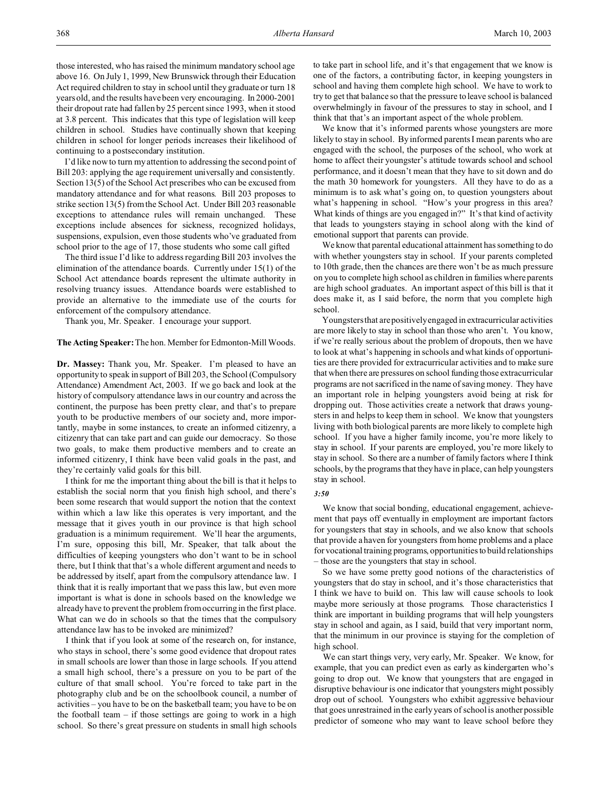those interested, who has raised the minimum mandatory school age above 16. On July 1, 1999, New Brunswick through their Education Act required children to stay in school until they graduate or turn 18 years old, and the results have been very encouraging. In 2000-2001 their dropout rate had fallen by 25 percent since 1993, when it stood at 3.8 percent. This indicates that this type of legislation will keep children in school. Studies have continually shown that keeping children in school for longer periods increases their likelihood of continuing to a postsecondary institution.

I'd like now to turn my attention to addressing the second point of Bill 203: applying the age requirement universally and consistently. Section 13(5) of the School Act prescribes who can be excused from mandatory attendance and for what reasons. Bill 203 proposes to strike section 13(5) from the School Act. Under Bill 203 reasonable exceptions to attendance rules will remain unchanged. These exceptions include absences for sickness, recognized holidays, suspensions, expulsion, even those students who've graduated from school prior to the age of 17, those students who some call gifted

The third issue I'd like to address regarding Bill 203 involves the elimination of the attendance boards. Currently under 15(1) of the School Act attendance boards represent the ultimate authority in resolving truancy issues. Attendance boards were established to provide an alternative to the immediate use of the courts for enforcement of the compulsory attendance.

Thank you, Mr. Speaker. I encourage your support.

## **The Acting Speaker:**The hon. Member for Edmonton-Mill Woods.

**Dr. Massey:** Thank you, Mr. Speaker. I'm pleased to have an opportunity to speak in support of Bill 203, the School (Compulsory Attendance) Amendment Act, 2003. If we go back and look at the history of compulsory attendance laws in our country and across the continent, the purpose has been pretty clear, and that's to prepare youth to be productive members of our society and, more importantly, maybe in some instances, to create an informed citizenry, a citizenry that can take part and can guide our democracy. So those two goals, to make them productive members and to create an informed citizenry, I think have been valid goals in the past, and they're certainly valid goals for this bill.

I think for me the important thing about the bill is that it helps to establish the social norm that you finish high school, and there's been some research that would support the notion that the context within which a law like this operates is very important, and the message that it gives youth in our province is that high school graduation is a minimum requirement. We'll hear the arguments, I'm sure, opposing this bill, Mr. Speaker, that talk about the difficulties of keeping youngsters who don't want to be in school there, but I think that that's a whole different argument and needs to be addressed by itself, apart from the compulsory attendance law. I think that it is really important that we pass this law, but even more important is what is done in schools based on the knowledge we already have to prevent the problem from occurring in the first place. What can we do in schools so that the times that the compulsory attendance law has to be invoked are minimized?

I think that if you look at some of the research on, for instance, who stays in school, there's some good evidence that dropout rates in small schools are lower than those in large schools. If you attend a small high school, there's a pressure on you to be part of the culture of that small school. You're forced to take part in the photography club and be on the schoolbook council, a number of activities – you have to be on the basketball team; you have to be on the football team  $-$  if those settings are going to work in a high school. So there's great pressure on students in small high schools

to take part in school life, and it's that engagement that we know is one of the factors, a contributing factor, in keeping youngsters in school and having them complete high school. We have to work to try to get that balance so that the pressure to leave school is balanced overwhelmingly in favour of the pressures to stay in school, and I think that that's an important aspect of the whole problem.

We know that it's informed parents whose youngsters are more likely to stay in school. By informed parents I mean parents who are engaged with the school, the purposes of the school, who work at home to affect their youngster's attitude towards school and school performance, and it doesn't mean that they have to sit down and do the math 30 homework for youngsters. All they have to do as a minimum is to ask what's going on, to question youngsters about what's happening in school. "How's your progress in this area? What kinds of things are you engaged in?" It's that kind of activity that leads to youngsters staying in school along with the kind of emotional support that parents can provide.

We know that parental educational attainment has something to do with whether youngsters stay in school. If your parents completed to 10th grade, then the chances are there won't be as much pressure on you to complete high school as children in families where parents are high school graduates. An important aspect of this bill is that it does make it, as I said before, the norm that you complete high school.

Youngsters that are positively engaged in extracurricular activities are more likely to stay in school than those who aren't. You know, if we're really serious about the problem of dropouts, then we have to look at what's happening in schools and what kinds of opportunities are there provided for extracurricular activities and to make sure that when there are pressures on school funding those extracurricular programs are not sacrificed in the name of saving money. They have an important role in helping youngsters avoid being at risk for dropping out. Those activities create a network that draws youngsters in and helps to keep them in school. We know that youngsters living with both biological parents are more likely to complete high school. If you have a higher family income, you're more likely to stay in school. If your parents are employed, you're more likely to stay in school. So there are a number of family factors where I think schools, by the programs that they have in place, can help youngsters stay in school.

#### *3:50*

We know that social bonding, educational engagement, achievement that pays off eventually in employment are important factors for youngsters that stay in schools, and we also know that schools that provide a haven for youngsters from home problems and a place for vocational training programs, opportunities to build relationships – those are the youngsters that stay in school.

So we have some pretty good notions of the characteristics of youngsters that do stay in school, and it's those characteristics that I think we have to build on. This law will cause schools to look maybe more seriously at those programs. Those characteristics I think are important in building programs that will help youngsters stay in school and again, as I said, build that very important norm, that the minimum in our province is staying for the completion of high school.

We can start things very, very early, Mr. Speaker. We know, for example, that you can predict even as early as kindergarten who's going to drop out. We know that youngsters that are engaged in disruptive behaviour is one indicator that youngsters might possibly drop out of school. Youngsters who exhibit aggressive behaviour that goes unrestrained in the early years of school is another possible predictor of someone who may want to leave school before they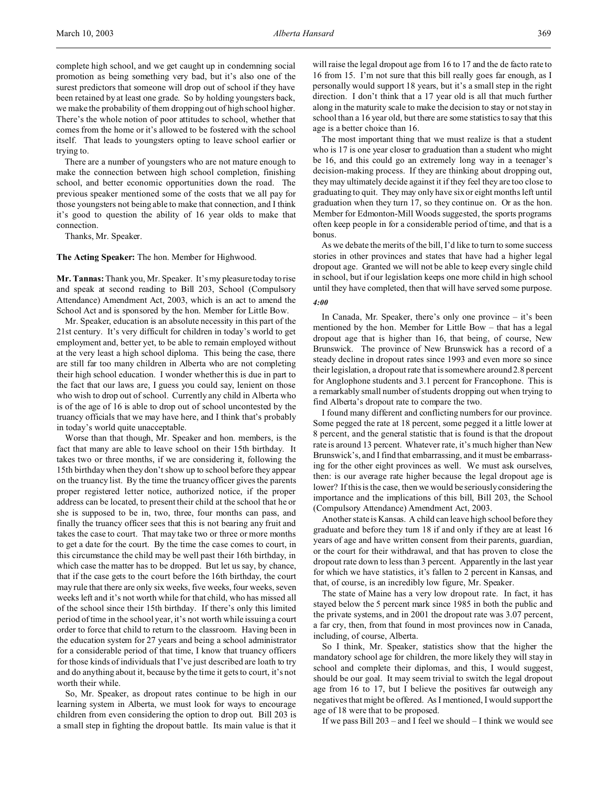complete high school, and we get caught up in condemning social promotion as being something very bad, but it's also one of the surest predictors that someone will drop out of school if they have been retained by at least one grade. So by holding youngsters back, we make the probability of them dropping out of high school higher. There's the whole notion of poor attitudes to school, whether that comes from the home or it's allowed to be fostered with the school itself. That leads to youngsters opting to leave school earlier or trying to.

There are a number of youngsters who are not mature enough to make the connection between high school completion, finishing school, and better economic opportunities down the road. The previous speaker mentioned some of the costs that we all pay for those youngsters not being able to make that connection, and I think it's good to question the ability of 16 year olds to make that connection.

Thanks, Mr. Speaker.

**The Acting Speaker:** The hon. Member for Highwood.

**Mr. Tannas:** Thank you, Mr. Speaker. It's my pleasure today to rise and speak at second reading to Bill 203, School (Compulsory Attendance) Amendment Act, 2003, which is an act to amend the School Act and is sponsored by the hon. Member for Little Bow.

Mr. Speaker, education is an absolute necessity in this part of the 21st century. It's very difficult for children in today's world to get employment and, better yet, to be able to remain employed without at the very least a high school diploma. This being the case, there are still far too many children in Alberta who are not completing their high school education. I wonder whether this is due in part to the fact that our laws are, I guess you could say, lenient on those who wish to drop out of school. Currently any child in Alberta who is of the age of 16 is able to drop out of school uncontested by the truancy officials that we may have here, and I think that's probably in today's world quite unacceptable.

Worse than that though, Mr. Speaker and hon. members, is the fact that many are able to leave school on their 15th birthday. It takes two or three months, if we are considering it, following the 15th birthday when they don't show up to school before they appear on the truancy list. By the time the truancy officer gives the parents proper registered letter notice, authorized notice, if the proper address can be located, to present their child at the school that he or she is supposed to be in, two, three, four months can pass, and finally the truancy officer sees that this is not bearing any fruit and takes the case to court. That may take two or three or more months to get a date for the court. By the time the case comes to court, in this circumstance the child may be well past their 16th birthday, in which case the matter has to be dropped. But let us say, by chance, that if the case gets to the court before the 16th birthday, the court may rule that there are only six weeks, five weeks, four weeks, seven weeks left and it's not worth while for that child, who has missed all of the school since their 15th birthday. If there's only this limited period of time in the school year, it's not worth while issuing a court order to force that child to return to the classroom. Having been in the education system for 27 years and being a school administrator for a considerable period of that time, I know that truancy officers for those kinds of individuals that I've just described are loath to try and do anything about it, because by the time it gets to court, it's not worth their while.

So, Mr. Speaker, as dropout rates continue to be high in our learning system in Alberta, we must look for ways to encourage children from even considering the option to drop out. Bill 203 is a small step in fighting the dropout battle. Its main value is that it will raise the legal dropout age from 16 to 17 and the de facto rate to 16 from 15. I'm not sure that this bill really goes far enough, as I personally would support 18 years, but it's a small step in the right direction. I don't think that a 17 year old is all that much further along in the maturity scale to make the decision to stay or not stay in school than a 16 year old, but there are some statistics to say that this age is a better choice than 16.

The most important thing that we must realize is that a student who is 17 is one year closer to graduation than a student who might be 16, and this could go an extremely long way in a teenager's decision-making process. If they are thinking about dropping out, they may ultimately decide against it if they feel they are too close to graduating to quit. They may only have six or eight months left until graduation when they turn 17, so they continue on. Or as the hon. Member for Edmonton-Mill Woods suggested, the sports programs often keep people in for a considerable period of time, and that is a bonus.

As we debate the merits of the bill, I'd like to turn to some success stories in other provinces and states that have had a higher legal dropout age. Granted we will not be able to keep every single child in school, but if our legislation keeps one more child in high school until they have completed, then that will have served some purpose.

## *4:00*

In Canada, Mr. Speaker, there's only one province – it's been mentioned by the hon. Member for Little Bow – that has a legal dropout age that is higher than 16, that being, of course, New Brunswick. The province of New Brunswick has a record of a steady decline in dropout rates since 1993 and even more so since their legislation, a dropout rate that is somewhere around 2.8 percent for Anglophone students and 3.1 percent for Francophone. This is a remarkably small number of students dropping out when trying to find Alberta's dropout rate to compare the two.

I found many different and conflicting numbers for our province. Some pegged the rate at 18 percent, some pegged it a little lower at 8 percent, and the general statistic that is found is that the dropout rate is around 13 percent. Whatever rate, it's much higher than New Brunswick's, and I find that embarrassing, and it must be embarrassing for the other eight provinces as well. We must ask ourselves, then: is our average rate higher because the legal dropout age is lower? If this is the case, then we would be seriously considering the importance and the implications of this bill, Bill 203, the School (Compulsory Attendance) Amendment Act, 2003.

Another state is Kansas. A child can leave high school before they graduate and before they turn 18 if and only if they are at least 16 years of age and have written consent from their parents, guardian, or the court for their withdrawal, and that has proven to close the dropout rate down to less than 3 percent. Apparently in the last year for which we have statistics, it's fallen to 2 percent in Kansas, and that, of course, is an incredibly low figure, Mr. Speaker.

The state of Maine has a very low dropout rate. In fact, it has stayed below the 5 percent mark since 1985 in both the public and the private systems, and in 2001 the dropout rate was 3.07 percent, a far cry, then, from that found in most provinces now in Canada, including, of course, Alberta.

So I think, Mr. Speaker, statistics show that the higher the mandatory school age for children, the more likely they will stay in school and complete their diplomas, and this, I would suggest, should be our goal. It may seem trivial to switch the legal dropout age from 16 to 17, but I believe the positives far outweigh any negatives that might be offered. As I mentioned, I would support the age of 18 were that to be proposed.

If we pass Bill 203 – and I feel we should – I think we would see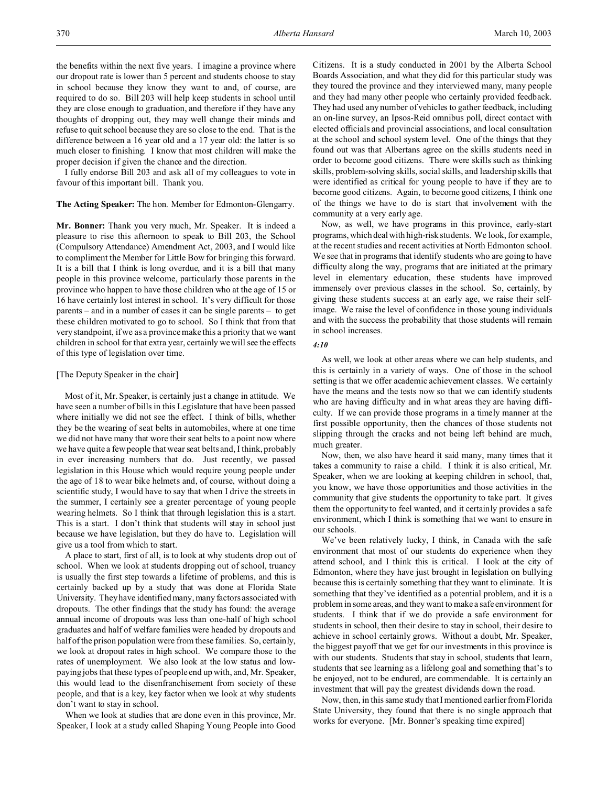the benefits within the next five years. I imagine a province where our dropout rate is lower than 5 percent and students choose to stay in school because they know they want to and, of course, are required to do so. Bill 203 will help keep students in school until they are close enough to graduation, and therefore if they have any thoughts of dropping out, they may well change their minds and refuse to quit school because they are so close to the end. That is the difference between a 16 year old and a 17 year old: the latter is so much closer to finishing. I know that most children will make the proper decision if given the chance and the direction.

I fully endorse Bill 203 and ask all of my colleagues to vote in favour of this important bill. Thank you.

## **The Acting Speaker:** The hon. Member for Edmonton-Glengarry.

**Mr. Bonner:** Thank you very much, Mr. Speaker. It is indeed a pleasure to rise this afternoon to speak to Bill 203, the School (Compulsory Attendance) Amendment Act, 2003, and I would like to compliment the Member for Little Bow for bringing this forward. It is a bill that I think is long overdue, and it is a bill that many people in this province welcome, particularly those parents in the province who happen to have those children who at the age of 15 or 16 have certainly lost interest in school. It's very difficult for those parents – and in a number of cases it can be single parents – to get these children motivated to go to school. So I think that from that very standpoint, if we as a province make this a priority that we want children in school for that extra year, certainly we will see the effects of this type of legislation over time.

## [The Deputy Speaker in the chair]

Most of it, Mr. Speaker, is certainly just a change in attitude. We have seen a number of bills in this Legislature that have been passed where initially we did not see the effect. I think of bills, whether they be the wearing of seat belts in automobiles, where at one time we did not have many that wore their seat belts to a point now where we have quite a few people that wear seat belts and, I think, probably in ever increasing numbers that do. Just recently, we passed legislation in this House which would require young people under the age of 18 to wear bike helmets and, of course, without doing a scientific study, I would have to say that when I drive the streets in the summer, I certainly see a greater percentage of young people wearing helmets. So I think that through legislation this is a start. This is a start. I don't think that students will stay in school just because we have legislation, but they do have to. Legislation will give us a tool from which to start.

A place to start, first of all, is to look at why students drop out of school. When we look at students dropping out of school, truancy is usually the first step towards a lifetime of problems, and this is certainly backed up by a study that was done at Florida State University. They have identified many, many factors associated with dropouts. The other findings that the study has found: the average annual income of dropouts was less than one-half of high school graduates and half of welfare families were headed by dropouts and half of the prison population were from these families. So, certainly, we look at dropout rates in high school. We compare those to the rates of unemployment. We also look at the low status and lowpaying jobs that these types of people end up with, and, Mr. Speaker, this would lead to the disenfranchisement from society of these people, and that is a key, key factor when we look at why students don't want to stay in school.

When we look at studies that are done even in this province, Mr. Speaker, I look at a study called Shaping Young People into Good Citizens. It is a study conducted in 2001 by the Alberta School Boards Association, and what they did for this particular study was they toured the province and they interviewed many, many people and they had many other people who certainly provided feedback. They had used any number of vehicles to gather feedback, including an on-line survey, an Ipsos-Reid omnibus poll, direct contact with elected officials and provincial associations, and local consultation at the school and school system level. One of the things that they found out was that Albertans agree on the skills students need in order to become good citizens. There were skills such as thinking skills, problem-solving skills, social skills, and leadership skills that were identified as critical for young people to have if they are to become good citizens. Again, to become good citizens, I think one of the things we have to do is start that involvement with the community at a very early age.

Now, as well, we have programs in this province, early-start programs, which deal with high-risk students. We look, for example, at the recent studies and recent activities at North Edmonton school. We see that in programs that identify students who are going to have difficulty along the way, programs that are initiated at the primary level in elementary education, these students have improved immensely over previous classes in the school. So, certainly, by giving these students success at an early age, we raise their selfimage. We raise the level of confidence in those young individuals and with the success the probability that those students will remain in school increases.

## *4:10*

As well, we look at other areas where we can help students, and this is certainly in a variety of ways. One of those in the school setting is that we offer academic achievement classes. We certainly have the means and the tests now so that we can identify students who are having difficulty and in what areas they are having difficulty. If we can provide those programs in a timely manner at the first possible opportunity, then the chances of those students not slipping through the cracks and not being left behind are much, much greater.

Now, then, we also have heard it said many, many times that it takes a community to raise a child. I think it is also critical, Mr. Speaker, when we are looking at keeping children in school, that, you know, we have those opportunities and those activities in the community that give students the opportunity to take part. It gives them the opportunity to feel wanted, and it certainly provides a safe environment, which I think is something that we want to ensure in our schools.

We've been relatively lucky, I think, in Canada with the safe environment that most of our students do experience when they attend school, and I think this is critical. I look at the city of Edmonton, where they have just brought in legislation on bullying because this is certainly something that they want to eliminate. It is something that they've identified as a potential problem, and it is a problem in some areas, and they want to make a safe environment for students. I think that if we do provide a safe environment for students in school, then their desire to stay in school, their desire to achieve in school certainly grows. Without a doubt, Mr. Speaker, the biggest payoff that we get for our investments in this province is with our students. Students that stay in school, students that learn, students that see learning as a lifelong goal and something that's to be enjoyed, not to be endured, are commendable. It is certainly an investment that will pay the greatest dividends down the road.

Now, then, in this same study that I mentioned earlier from Florida State University, they found that there is no single approach that works for everyone. [Mr. Bonner's speaking time expired]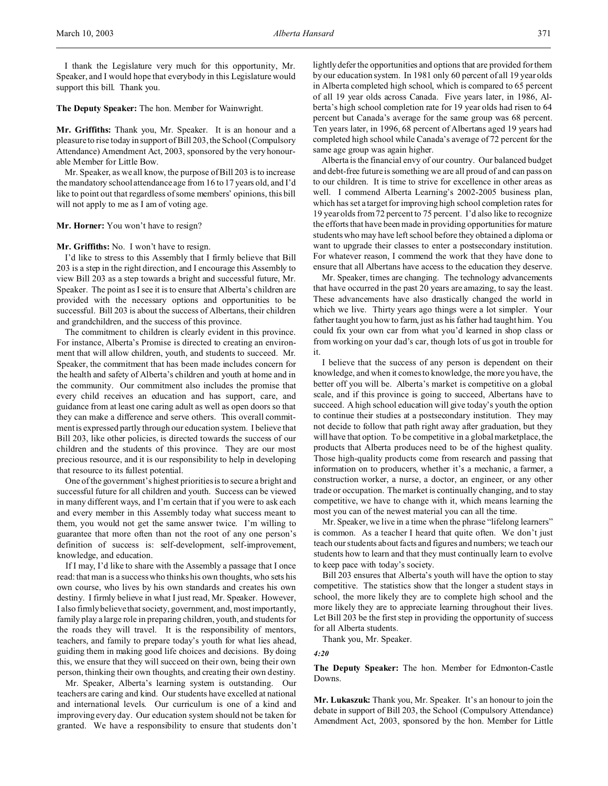I thank the Legislature very much for this opportunity, Mr. Speaker, and I would hope that everybody in this Legislature would support this bill. Thank you.

**The Deputy Speaker:** The hon. Member for Wainwright.

**Mr. Griffiths:** Thank you, Mr. Speaker. It is an honour and a pleasure to rise today in support of Bill 203, the School (Compulsory Attendance) Amendment Act, 2003, sponsored by the very honourable Member for Little Bow.

Mr. Speaker, as we all know, the purpose of Bill 203 is to increase the mandatory school attendance age from 16 to 17 years old, and I'd like to point out that regardless of some members' opinions, this bill will not apply to me as I am of voting age.

### **Mr. Horner:** You won't have to resign?

**Mr. Griffiths:** No. I won't have to resign.

I'd like to stress to this Assembly that I firmly believe that Bill 203 is a step in the right direction, and I encourage this Assembly to view Bill 203 as a step towards a bright and successful future, Mr. Speaker. The point as I see it is to ensure that Alberta's children are provided with the necessary options and opportunities to be successful. Bill 203 is about the success of Albertans, their children and grandchildren, and the success of this province.

The commitment to children is clearly evident in this province. For instance, Alberta's Promise is directed to creating an environment that will allow children, youth, and students to succeed. Mr. Speaker, the commitment that has been made includes concern for the health and safety of Alberta's children and youth at home and in the community. Our commitment also includes the promise that every child receives an education and has support, care, and guidance from at least one caring adult as well as open doors so that they can make a difference and serve others. This overall commitment is expressed partly through our education system. I believe that Bill 203, like other policies, is directed towards the success of our children and the students of this province. They are our most precious resource, and it is our responsibility to help in developing that resource to its fullest potential.

One of the government's highest priorities is to secure a bright and successful future for all children and youth. Success can be viewed in many different ways, and I'm certain that if you were to ask each and every member in this Assembly today what success meant to them, you would not get the same answer twice. I'm willing to guarantee that more often than not the root of any one person's definition of success is: self-development, self-improvement, knowledge, and education.

If I may, I'd like to share with the Assembly a passage that I once read: that man is a success who thinks his own thoughts, who sets his own course, who lives by his own standards and creates his own destiny. I firmly believe in what I just read, Mr. Speaker. However, I also firmly believe that society, government, and, most importantly, family play a large role in preparing children, youth, and students for the roads they will travel. It is the responsibility of mentors, teachers, and family to prepare today's youth for what lies ahead, guiding them in making good life choices and decisions. By doing this, we ensure that they will succeed on their own, being their own person, thinking their own thoughts, and creating their own destiny.

Mr. Speaker, Alberta's learning system is outstanding. Our teachers are caring and kind. Our students have excelled at national and international levels. Our curriculum is one of a kind and improving every day. Our education system should not be taken for granted. We have a responsibility to ensure that students don't

lightly defer the opportunities and options that are provided for them by our education system. In 1981 only 60 percent of all 19 year olds in Alberta completed high school, which is compared to 65 percent of all 19 year olds across Canada. Five years later, in 1986, Alberta's high school completion rate for 19 year olds had risen to 64 percent but Canada's average for the same group was 68 percent. Ten years later, in 1996, 68 percent of Albertans aged 19 years had completed high school while Canada's average of 72 percent for the same age group was again higher.

Alberta is the financial envy of our country. Our balanced budget and debt-free future is something we are all proud of and can pass on to our children. It is time to strive for excellence in other areas as well. I commend Alberta Learning's 2002-2005 business plan, which has set a target for improving high school completion rates for 19 year olds from 72 percent to 75 percent. I'd also like to recognize the efforts that have been made in providing opportunities for mature students who may have left school before they obtained a diploma or want to upgrade their classes to enter a postsecondary institution. For whatever reason, I commend the work that they have done to ensure that all Albertans have access to the education they deserve.

Mr. Speaker, times are changing. The technology advancements that have occurred in the past 20 years are amazing, to say the least. These advancements have also drastically changed the world in which we live. Thirty years ago things were a lot simpler. Your father taught you how to farm, just as his father had taught him. You could fix your own car from what you'd learned in shop class or from working on your dad's car, though lots of us got in trouble for it.

I believe that the success of any person is dependent on their knowledge, and when it comes to knowledge, the more you have, the better off you will be. Alberta's market is competitive on a global scale, and if this province is going to succeed, Albertans have to succeed. A high school education will give today's youth the option to continue their studies at a postsecondary institution. They may not decide to follow that path right away after graduation, but they will have that option. To be competitive in a global marketplace, the products that Alberta produces need to be of the highest quality. Those high-quality products come from research and passing that information on to producers, whether it's a mechanic, a farmer, a construction worker, a nurse, a doctor, an engineer, or any other trade or occupation. The market is continually changing, and to stay competitive, we have to change with it, which means learning the most you can of the newest material you can all the time.

Mr. Speaker, we live in a time when the phrase "lifelong learners" is common. As a teacher I heard that quite often. We don't just teach our students about facts and figures and numbers; we teach our students how to learn and that they must continually learn to evolve to keep pace with today's society.

Bill 203 ensures that Alberta's youth will have the option to stay competitive. The statistics show that the longer a student stays in school, the more likely they are to complete high school and the more likely they are to appreciate learning throughout their lives. Let Bill 203 be the first step in providing the opportunity of success for all Alberta students.

Thank you, Mr. Speaker.

*4:20*

**The Deputy Speaker:** The hon. Member for Edmonton-Castle Downs.

**Mr. Lukaszuk:** Thank you, Mr. Speaker. It's an honour to join the debate in support of Bill 203, the School (Compulsory Attendance) Amendment Act, 2003, sponsored by the hon. Member for Little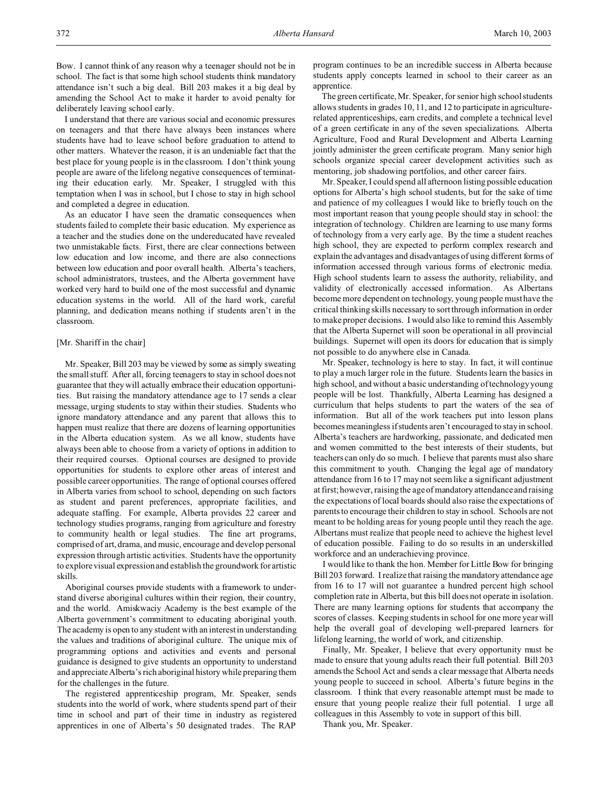Bow. I cannot think of any reason why a teenager should not be in school. The fact is that some high school students think mandatory attendance isn't such a big deal. Bill 203 makes it a big deal by amending the School Act to make it harder to avoid penalty for deliberately leaving school early.

I understand that there are various social and economic pressures on teenagers and that there have always been instances where students have had to leave school before graduation to attend to other matters. Whatever the reason, it is an undeniable fact that the best place for young people is in the classroom. I don't think young people are aware of the lifelong negative consequences of terminating their education early. Mr. Speaker, I struggled with this temptation when I was in school, but I chose to stay in high school and completed a degree in education.

As an educator I have seen the dramatic consequences when students failed to complete their basic education. My experience as a teacher and the studies done on the undereducated have revealed two unmistakable facts. First, there are clear connections between low education and low income, and there are also connections between low education and poor overall health. Alberta's teachers, school administrators, trustees, and the Alberta government have worked very hard to build one of the most successful and dynamic education systems in the world. All of the hard work, careful planning, and dedication means nothing if students aren't in the classroom.

## [Mr. Shariff in the chair]

Mr. Speaker, Bill 203 may be viewed by some as simply sweating the small stuff. After all, forcing teenagers to stay in school does not guarantee that they will actually embrace their education opportunities. But raising the mandatory attendance age to 17 sends a clear message, urging students to stay within their studies. Students who ignore mandatory attendance and any parent that allows this to happen must realize that there are dozens of learning opportunities in the Alberta education system. As we all know, students have always been able to choose from a variety of options in addition to their required courses. Optional courses are designed to provide opportunities for students to explore other areas of interest and possible career opportunities. The range of optional courses offered in Alberta varies from school to school, depending on such factors as student and parent preferences, appropriate facilities, and adequate staffing. For example, Alberta provides 22 career and technology studies programs, ranging from agriculture and forestry to community health or legal studies. The fine art programs, comprised of art, drama, and music, encourage and develop personal expression through artistic activities. Students have the opportunity to explore visual expression and establish the groundwork for artistic skills.

Aboriginal courses provide students with a framework to understand diverse aboriginal cultures within their region, their country, and the world. Amiskwaciy Academy is the best example of the Alberta government's commitment to educating aboriginal youth. The academy is open to any student with an interest in understanding the values and traditions of aboriginal culture. The unique mix of programming options and activities and events and personal guidance is designed to give students an opportunity to understand and appreciate Alberta's rich aboriginal history while preparing them for the challenges in the future.

The registered apprenticeship program, Mr. Speaker, sends students into the world of work, where students spend part of their time in school and part of their time in industry as registered apprentices in one of Alberta's 50 designated trades. The RAP

program continues to be an incredible success in Alberta because students apply concepts learned in school to their career as an apprentice.

The green certificate, Mr. Speaker, for senior high school students allows students in grades 10, 11, and 12 to participate in agriculturerelated apprenticeships, earn credits, and complete a technical level of a green certificate in any of the seven specializations. Alberta Agriculture, Food and Rural Development and Alberta Learning jointly administer the green certificate program. Many senior high schools organize special career development activities such as mentoring, job shadowing portfolios, and other career fairs.

Mr. Speaker, I could spend all afternoon listing possible education options for Alberta's high school students, but for the sake of time and patience of my colleagues I would like to briefly touch on the most important reason that young people should stay in school: the integration of technology. Children are learning to use many forms of technology from a very early age. By the time a student reaches high school, they are expected to perform complex research and explain the advantages and disadvantages of using different forms of information accessed through various forms of electronic media. High school students learn to assess the authority, reliability, and validity of electronically accessed information. As Albertans become more dependent on technology, young people must have the critical thinking skills necessary to sort through information in order to make proper decisions. I would also like to remind this Assembly that the Alberta Supernet will soon be operational in all provincial buildings. Supernet will open its doors for education that is simply not possible to do anywhere else in Canada.

Mr. Speaker, technology is here to stay. In fact, it will continue to play a much larger role in the future. Students learn the basics in high school, and without a basic understanding of technology young people will be lost. Thankfully, Alberta Learning has designed a curriculum that helps students to part the waters of the sea of information. But all of the work teachers put into lesson plans becomes meaningless if students aren't encouraged to stay in school. Alberta's teachers are hardworking, passionate, and dedicated men and women committed to the best interests of their students, but teachers can only do so much. I believe that parents must also share this commitment to youth. Changing the legal age of mandatory attendance from 16 to 17 may not seem like a significant adjustment at first; however, raising the age of mandatory attendance and raising the expectations of local boards should also raise the expectations of parents to encourage their children to stay in school. Schools are not meant to be holding areas for young people until they reach the age. Albertans must realize that people need to achieve the highest level of education possible. Failing to do so results in an underskilled workforce and an underachieving province.

I would like to thank the hon. Member for Little Bow for bringing Bill 203 forward. I realize that raising the mandatory attendance age from 16 to 17 will not guarantee a hundred percent high school completion rate in Alberta, but this bill does not operate in isolation. There are many learning options for students that accompany the scores of classes. Keeping students in school for one more year will help the overall goal of developing well-prepared learners for lifelong learning, the world of work, and citizenship.

Finally, Mr. Speaker, I believe that every opportunity must be made to ensure that young adults reach their full potential. Bill 203 amends the School Act and sends a clear message that Alberta needs young people to succeed in school. Alberta's future begins in the classroom. I think that every reasonable attempt must be made to ensure that young people realize their full potential. I urge all colleagues in this Assembly to vote in support of this bill.

Thank you, Mr. Speaker.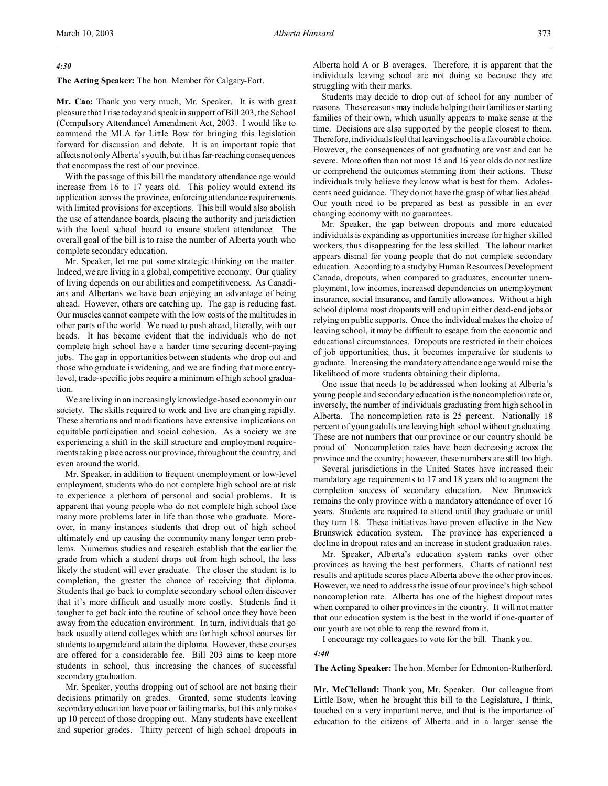# *4:30*

**The Acting Speaker:** The hon. Member for Calgary-Fort.

**Mr. Cao:** Thank you very much, Mr. Speaker. It is with great pleasure that I rise today and speak in support of Bill 203, the School (Compulsory Attendance) Amendment Act, 2003. I would like to commend the MLA for Little Bow for bringing this legislation forward for discussion and debate. It is an important topic that affects not only Alberta's youth, but it has far-reaching consequences that encompass the rest of our province.

With the passage of this bill the mandatory attendance age would increase from 16 to 17 years old. This policy would extend its application across the province, enforcing attendance requirements with limited provisions for exceptions. This bill would also abolish the use of attendance boards, placing the authority and jurisdiction with the local school board to ensure student attendance. The overall goal of the bill is to raise the number of Alberta youth who complete secondary education.

Mr. Speaker, let me put some strategic thinking on the matter. Indeed, we are living in a global, competitive economy. Our quality of living depends on our abilities and competitiveness. As Canadians and Albertans we have been enjoying an advantage of being ahead. However, others are catching up. The gap is reducing fast. Our muscles cannot compete with the low costs of the multitudes in other parts of the world. We need to push ahead, literally, with our heads. It has become evident that the individuals who do not complete high school have a harder time securing decent-paying jobs. The gap in opportunities between students who drop out and those who graduate is widening, and we are finding that more entrylevel, trade-specific jobs require a minimum of high school graduation.

We are living in an increasingly knowledge-based economy in our society. The skills required to work and live are changing rapidly. These alterations and modifications have extensive implications on equitable participation and social cohesion. As a society we are experiencing a shift in the skill structure and employment requirements taking place across our province, throughout the country, and even around the world.

Mr. Speaker, in addition to frequent unemployment or low-level employment, students who do not complete high school are at risk to experience a plethora of personal and social problems. It is apparent that young people who do not complete high school face many more problems later in life than those who graduate. Moreover, in many instances students that drop out of high school ultimately end up causing the community many longer term problems. Numerous studies and research establish that the earlier the grade from which a student drops out from high school, the less likely the student will ever graduate. The closer the student is to completion, the greater the chance of receiving that diploma. Students that go back to complete secondary school often discover that it's more difficult and usually more costly. Students find it tougher to get back into the routine of school once they have been away from the education environment. In turn, individuals that go back usually attend colleges which are for high school courses for students to upgrade and attain the diploma. However, these courses are offered for a considerable fee. Bill 203 aims to keep more students in school, thus increasing the chances of successful secondary graduation.

Mr. Speaker, youths dropping out of school are not basing their decisions primarily on grades. Granted, some students leaving secondary education have poor or failing marks, but this only makes up 10 percent of those dropping out. Many students have excellent and superior grades. Thirty percent of high school dropouts in

Alberta hold A or B averages. Therefore, it is apparent that the individuals leaving school are not doing so because they are struggling with their marks.

Students may decide to drop out of school for any number of reasons. These reasons may include helping their families or starting families of their own, which usually appears to make sense at the time. Decisions are also supported by the people closest to them. Therefore, individuals feel that leaving school is a favourable choice. However, the consequences of not graduating are vast and can be severe. More often than not most 15 and 16 year olds do not realize or comprehend the outcomes stemming from their actions. These individuals truly believe they know what is best for them. Adolescents need guidance. They do not have the grasp of what lies ahead. Our youth need to be prepared as best as possible in an ever changing economy with no guarantees.

Mr. Speaker, the gap between dropouts and more educated individuals is expanding as opportunities increase for higher skilled workers, thus disappearing for the less skilled. The labour market appears dismal for young people that do not complete secondary education. According to a study by Human Resources Development Canada, dropouts, when compared to graduates, encounter unemployment, low incomes, increased dependencies on unemployment insurance, social insurance, and family allowances. Without a high school diploma most dropouts will end up in either dead-end jobs or relying on public supports. Once the individual makes the choice of leaving school, it may be difficult to escape from the economic and educational circumstances. Dropouts are restricted in their choices of job opportunities; thus, it becomes imperative for students to graduate. Increasing the mandatory attendance age would raise the likelihood of more students obtaining their diploma.

One issue that needs to be addressed when looking at Alberta's young people and secondary education is the noncompletion rate or, inversely, the number of individuals graduating from high school in Alberta. The noncompletion rate is 25 percent. Nationally 18 percent of young adults are leaving high school without graduating. These are not numbers that our province or our country should be proud of. Noncompletion rates have been decreasing across the province and the country; however, these numbers are still too high.

Several jurisdictions in the United States have increased their mandatory age requirements to 17 and 18 years old to augment the completion success of secondary education. New Brunswick remains the only province with a mandatory attendance of over 16 years. Students are required to attend until they graduate or until they turn 18. These initiatives have proven effective in the New Brunswick education system. The province has experienced a decline in dropout rates and an increase in student graduation rates.

Mr. Speaker, Alberta's education system ranks over other provinces as having the best performers. Charts of national test results and aptitude scores place Alberta above the other provinces. However, we need to address the issue of our province's high school noncompletion rate. Alberta has one of the highest dropout rates when compared to other provinces in the country. It will not matter that our education system is the best in the world if one-quarter of our youth are not able to reap the reward from it.

I encourage my colleagues to vote for the bill. Thank you.

#### *4:40*

**The Acting Speaker:** The hon. Member for Edmonton-Rutherford.

**Mr. McClelland:** Thank you, Mr. Speaker. Our colleague from Little Bow, when he brought this bill to the Legislature, I think, touched on a very important nerve, and that is the importance of education to the citizens of Alberta and in a larger sense the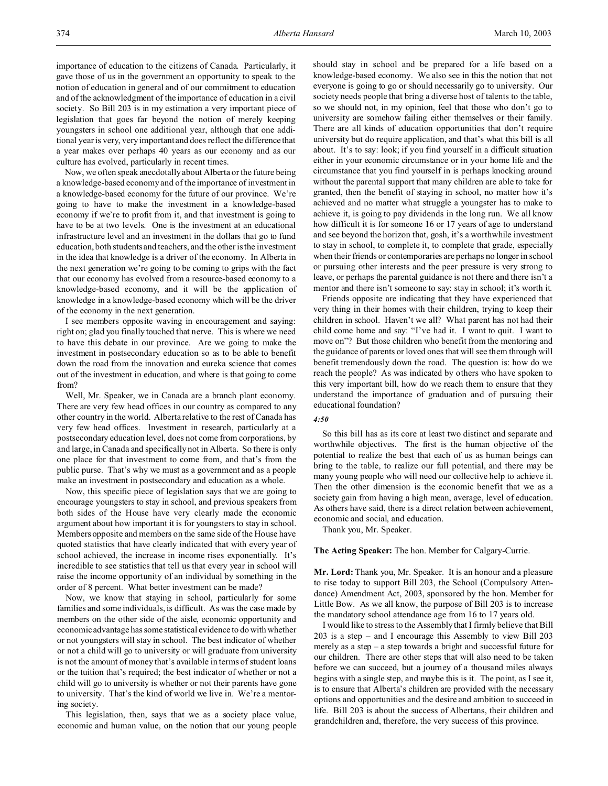importance of education to the citizens of Canada. Particularly, it gave those of us in the government an opportunity to speak to the notion of education in general and of our commitment to education and of the acknowledgment of the importance of education in a civil society. So Bill 203 is in my estimation a very important piece of legislation that goes far beyond the notion of merely keeping youngsters in school one additional year, although that one additional year is very, very important and does reflect the difference that a year makes over perhaps 40 years as our economy and as our culture has evolved, particularly in recent times.

Now, we often speak anecdotally about Alberta or the future being a knowledge-based economy and of the importance of investment in a knowledge-based economy for the future of our province. We're going to have to make the investment in a knowledge-based economy if we're to profit from it, and that investment is going to have to be at two levels. One is the investment at an educational infrastructure level and an investment in the dollars that go to fund education, both students and teachers, and the other is the investment in the idea that knowledge is a driver of the economy. In Alberta in the next generation we're going to be coming to grips with the fact that our economy has evolved from a resource-based economy to a knowledge-based economy, and it will be the application of knowledge in a knowledge-based economy which will be the driver of the economy in the next generation.

I see members opposite waving in encouragement and saying: right on; glad you finally touched that nerve. This is where we need to have this debate in our province. Are we going to make the investment in postsecondary education so as to be able to benefit down the road from the innovation and eureka science that comes out of the investment in education, and where is that going to come from?

Well, Mr. Speaker, we in Canada are a branch plant economy. There are very few head offices in our country as compared to any other country in the world. Alberta relative to the rest of Canada has very few head offices. Investment in research, particularly at a postsecondary education level, does not come from corporations, by and large, in Canada and specifically not in Alberta. So there is only one place for that investment to come from, and that's from the public purse. That's why we must as a government and as a people make an investment in postsecondary and education as a whole.

Now, this specific piece of legislation says that we are going to encourage youngsters to stay in school, and previous speakers from both sides of the House have very clearly made the economic argument about how important it is for youngsters to stay in school. Members opposite and members on the same side of the House have quoted statistics that have clearly indicated that with every year of school achieved, the increase in income rises exponentially. It's incredible to see statistics that tell us that every year in school will raise the income opportunity of an individual by something in the order of 8 percent. What better investment can be made?

Now, we know that staying in school, particularly for some families and some individuals, is difficult. As was the case made by members on the other side of the aisle, economic opportunity and economic advantage has some statistical evidence to do with whether or not youngsters will stay in school. The best indicator of whether or not a child will go to university or will graduate from university is not the amount of money that's available in terms of student loans or the tuition that's required; the best indicator of whether or not a child will go to university is whether or not their parents have gone to university. That's the kind of world we live in. We're a mentoring society.

This legislation, then, says that we as a society place value, economic and human value, on the notion that our young people

should stay in school and be prepared for a life based on a knowledge-based economy. We also see in this the notion that not everyone is going to go or should necessarily go to university. Our society needs people that bring a diverse host of talents to the table, so we should not, in my opinion, feel that those who don't go to university are somehow failing either themselves or their family. There are all kinds of education opportunities that don't require university but do require application, and that's what this bill is all about. It's to say: look; if you find yourself in a difficult situation either in your economic circumstance or in your home life and the circumstance that you find yourself in is perhaps knocking around without the parental support that many children are able to take for granted, then the benefit of staying in school, no matter how it's achieved and no matter what struggle a youngster has to make to achieve it, is going to pay dividends in the long run. We all know how difficult it is for someone 16 or 17 years of age to understand and see beyond the horizon that, gosh, it's a worthwhile investment to stay in school, to complete it, to complete that grade, especially when their friends or contemporaries are perhaps no longer in school or pursuing other interests and the peer pressure is very strong to leave, or perhaps the parental guidance is not there and there isn't a mentor and there isn't someone to say: stay in school; it's worth it.

Friends opposite are indicating that they have experienced that very thing in their homes with their children, trying to keep their children in school. Haven't we all? What parent has not had their child come home and say: "I've had it. I want to quit. I want to move on"? But those children who benefit from the mentoring and the guidance of parents or loved ones that will see them through will benefit tremendously down the road. The question is: how do we reach the people? As was indicated by others who have spoken to this very important bill, how do we reach them to ensure that they understand the importance of graduation and of pursuing their educational foundation?

### *4:50*

So this bill has as its core at least two distinct and separate and worthwhile objectives. The first is the human objective of the potential to realize the best that each of us as human beings can bring to the table, to realize our full potential, and there may be many young people who will need our collective help to achieve it. Then the other dimension is the economic benefit that we as a society gain from having a high mean, average, level of education. As others have said, there is a direct relation between achievement, economic and social, and education.

Thank you, Mr. Speaker.

## **The Acting Speaker:** The hon. Member for Calgary-Currie.

**Mr. Lord:** Thank you, Mr. Speaker. It is an honour and a pleasure to rise today to support Bill 203, the School (Compulsory Attendance) Amendment Act, 2003, sponsored by the hon. Member for Little Bow. As we all know, the purpose of Bill 203 is to increase the mandatory school attendance age from 16 to 17 years old.

I would like to stress to the Assembly that I firmly believe that Bill 203 is a step – and I encourage this Assembly to view Bill 203 merely as a step – a step towards a bright and successful future for our children. There are other steps that will also need to be taken before we can succeed, but a journey of a thousand miles always begins with a single step, and maybe this is it. The point, as I see it, is to ensure that Alberta's children are provided with the necessary options and opportunities and the desire and ambition to succeed in life. Bill 203 is about the success of Albertans, their children and grandchildren and, therefore, the very success of this province.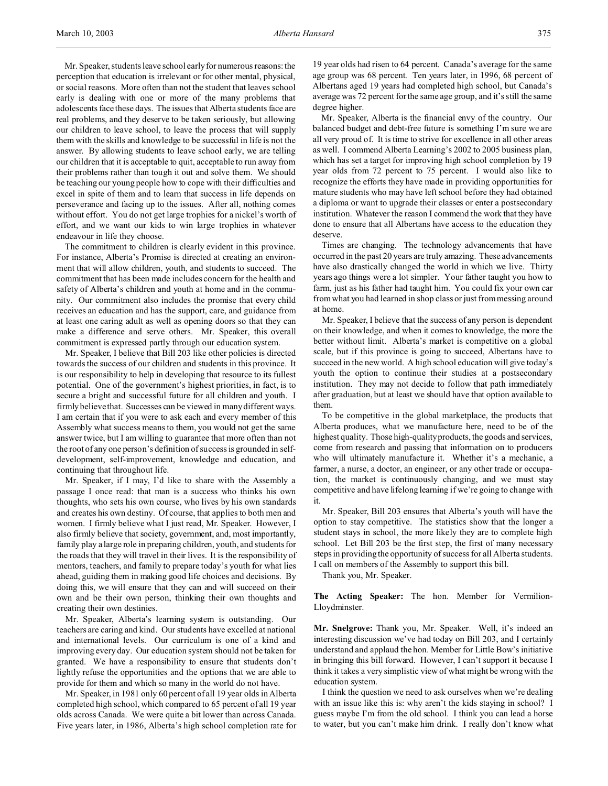Mr. Speaker, students leave school early for numerous reasons: the perception that education is irrelevant or for other mental, physical, or social reasons. More often than not the student that leaves school early is dealing with one or more of the many problems that adolescents face these days. The issues that Alberta students face are real problems, and they deserve to be taken seriously, but allowing our children to leave school, to leave the process that will supply them with the skills and knowledge to be successful in life is not the answer. By allowing students to leave school early, we are telling our children that it is acceptable to quit, acceptable to run away from their problems rather than tough it out and solve them. We should be teaching our young people how to cope with their difficulties and excel in spite of them and to learn that success in life depends on perseverance and facing up to the issues. After all, nothing comes without effort. You do not get large trophies for a nickel's worth of effort, and we want our kids to win large trophies in whatever endeavour in life they choose.

The commitment to children is clearly evident in this province. For instance, Alberta's Promise is directed at creating an environment that will allow children, youth, and students to succeed. The commitment that has been made includes concern for the health and safety of Alberta's children and youth at home and in the community. Our commitment also includes the promise that every child receives an education and has the support, care, and guidance from at least one caring adult as well as opening doors so that they can make a difference and serve others. Mr. Speaker, this overall commitment is expressed partly through our education system.

Mr. Speaker, I believe that Bill 203 like other policies is directed towards the success of our children and students in this province. It is our responsibility to help in developing that resource to its fullest potential. One of the government's highest priorities, in fact, is to secure a bright and successful future for all children and youth. I firmly believe that. Successes can be viewed in many different ways. I am certain that if you were to ask each and every member of this Assembly what success means to them, you would not get the same answer twice, but I am willing to guarantee that more often than not the root of any one person's definition of success is grounded in selfdevelopment, self-improvement, knowledge and education, and continuing that throughout life.

Mr. Speaker, if I may, I'd like to share with the Assembly a passage I once read: that man is a success who thinks his own thoughts, who sets his own course, who lives by his own standards and creates his own destiny. Of course, that applies to both men and women. I firmly believe what I just read, Mr. Speaker. However, I also firmly believe that society, government, and, most importantly, family play a large role in preparing children, youth, and students for the roads that they will travel in their lives. It is the responsibility of mentors, teachers, and family to prepare today's youth for what lies ahead, guiding them in making good life choices and decisions. By doing this, we will ensure that they can and will succeed on their own and be their own person, thinking their own thoughts and creating their own destinies.

Mr. Speaker, Alberta's learning system is outstanding. Our teachers are caring and kind. Our students have excelled at national and international levels. Our curriculum is one of a kind and improving every day. Our education system should not be taken for granted. We have a responsibility to ensure that students don't lightly refuse the opportunities and the options that we are able to provide for them and which so many in the world do not have.

Mr. Speaker, in 1981 only 60 percent of all 19 year olds in Alberta completed high school, which compared to 65 percent of all 19 year olds across Canada. We were quite a bit lower than across Canada. Five years later, in 1986, Alberta's high school completion rate for

19 year olds had risen to 64 percent. Canada's average for the same age group was 68 percent. Ten years later, in 1996, 68 percent of Albertans aged 19 years had completed high school, but Canada's average was 72 percent for the same age group, and it's still the same degree higher.

Mr. Speaker, Alberta is the financial envy of the country. Our balanced budget and debt-free future is something I'm sure we are all very proud of. It is time to strive for excellence in all other areas as well. I commend Alberta Learning's 2002 to 2005 business plan, which has set a target for improving high school completion by 19 year olds from 72 percent to 75 percent. I would also like to recognize the efforts they have made in providing opportunities for mature students who may have left school before they had obtained a diploma or want to upgrade their classes or enter a postsecondary institution. Whatever the reason I commend the work that they have done to ensure that all Albertans have access to the education they deserve.

Times are changing. The technology advancements that have occurred in the past 20 years are truly amazing. These advancements have also drastically changed the world in which we live. Thirty years ago things were a lot simpler. Your father taught you how to farm, just as his father had taught him. You could fix your own car from what you had learned in shop class or just from messing around at home.

Mr. Speaker, I believe that the success of any person is dependent on their knowledge, and when it comes to knowledge, the more the better without limit. Alberta's market is competitive on a global scale, but if this province is going to succeed, Albertans have to succeed in the new world. A high school education will give today's youth the option to continue their studies at a postsecondary institution. They may not decide to follow that path immediately after graduation, but at least we should have that option available to them.

To be competitive in the global marketplace, the products that Alberta produces, what we manufacture here, need to be of the highest quality. Those high-quality products, the goods and services, come from research and passing that information on to producers who will ultimately manufacture it. Whether it's a mechanic, a farmer, a nurse, a doctor, an engineer, or any other trade or occupation, the market is continuously changing, and we must stay competitive and have lifelong learning if we're going to change with it.

Mr. Speaker, Bill 203 ensures that Alberta's youth will have the option to stay competitive. The statistics show that the longer a student stays in school, the more likely they are to complete high school. Let Bill 203 be the first step, the first of many necessary steps in providing the opportunity of success for all Alberta students. I call on members of the Assembly to support this bill.

Thank you, Mr. Speaker.

**The Acting Speaker:** The hon. Member for Vermilion-Lloydminster.

**Mr. Snelgrove:** Thank you, Mr. Speaker. Well, it's indeed an interesting discussion we've had today on Bill 203, and I certainly understand and applaud the hon. Member for Little Bow's initiative in bringing this bill forward. However, I can't support it because I think it takes a very simplistic view of what might be wrong with the education system.

I think the question we need to ask ourselves when we're dealing with an issue like this is: why aren't the kids staying in school? I guess maybe I'm from the old school. I think you can lead a horse to water, but you can't make him drink. I really don't know what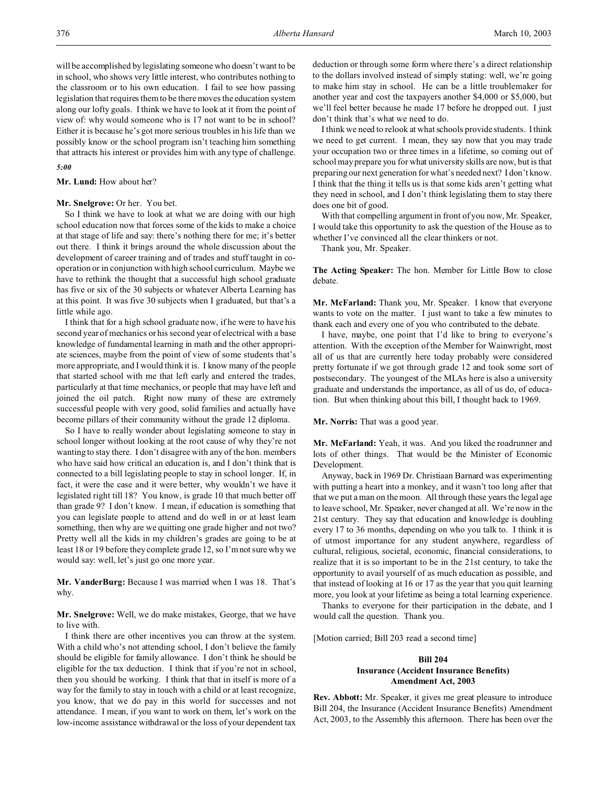will be accomplished by legislating someone who doesn't want to be in school, who shows very little interest, who contributes nothing to the classroom or to his own education. I fail to see how passing legislation that requires them to be there moves the education system along our lofty goals. I think we have to look at it from the point of view of: why would someone who is 17 not want to be in school? Either it is because he's got more serious troubles in his life than we possibly know or the school program isn't teaching him something that attracts his interest or provides him with any type of challenge.

### *5:00*

**Mr. Lund:** How about her?

## Mr. Snelgrove: Or her. You bet.

So I think we have to look at what we are doing with our high school education now that forces some of the kids to make a choice at that stage of life and say: there's nothing there for me; it's better out there. I think it brings around the whole discussion about the development of career training and of trades and stuff taught in cooperation or in conjunction with high school curriculum. Maybe we have to rethink the thought that a successful high school graduate has five or six of the 30 subjects or whatever Alberta Learning has at this point. It was five 30 subjects when I graduated, but that's a little while ago.

I think that for a high school graduate now, if he were to have his second year of mechanics or his second year of electrical with a base knowledge of fundamental learning in math and the other appropriate sciences, maybe from the point of view of some students that's more appropriate, and I would think it is. I know many of the people that started school with me that left early and entered the trades, particularly at that time mechanics, or people that may have left and joined the oil patch. Right now many of these are extremely successful people with very good, solid families and actually have become pillars of their community without the grade 12 diploma.

So I have to really wonder about legislating someone to stay in school longer without looking at the root cause of why they're not wanting to stay there. I don't disagree with any of the hon. members who have said how critical an education is, and I don't think that is connected to a bill legislating people to stay in school longer. If, in fact, it were the case and it were better, why wouldn't we have it legislated right till 18? You know, is grade 10 that much better off than grade 9? I don't know. I mean, if education is something that you can legislate people to attend and do well in or at least learn something, then why are we quitting one grade higher and not two? Pretty well all the kids in my children's grades are going to be at least 18 or 19 before they complete grade 12, so I'm not sure why we would say: well, let's just go one more year.

**Mr. VanderBurg:** Because I was married when I was 18. That's why.

**Mr. Snelgrove:** Well, we do make mistakes, George, that we have to live with.

I think there are other incentives you can throw at the system. With a child who's not attending school, I don't believe the family should be eligible for family allowance. I don't think he should be eligible for the tax deduction. I think that if you're not in school, then you should be working. I think that that in itself is more of a way for the family to stay in touch with a child or at least recognize, you know, that we do pay in this world for successes and not attendance. I mean, if you want to work on them, let's work on the low-income assistance withdrawal or the loss of your dependent tax

deduction or through some form where there's a direct relationship to the dollars involved instead of simply stating: well, we're going to make him stay in school. He can be a little troublemaker for another year and cost the taxpayers another \$4,000 or \$5,000, but we'll feel better because he made 17 before he dropped out. I just don't think that's what we need to do.

I think we need to relook at what schools provide students. I think we need to get current. I mean, they say now that you may trade your occupation two or three times in a lifetime, so coming out of school may prepare you for what university skills are now, but is that preparing our next generation for what's needed next? I don't know. I think that the thing it tells us is that some kids aren't getting what they need in school, and I don't think legislating them to stay there does one bit of good.

With that compelling argument in front of you now, Mr. Speaker, I would take this opportunity to ask the question of the House as to whether I've convinced all the clear thinkers or not.

Thank you, Mr. Speaker.

**The Acting Speaker:** The hon. Member for Little Bow to close debate.

**Mr. McFarland:** Thank you, Mr. Speaker. I know that everyone wants to vote on the matter. I just want to take a few minutes to thank each and every one of you who contributed to the debate.

I have, maybe, one point that I'd like to bring to everyone's attention. With the exception of the Member for Wainwright, most all of us that are currently here today probably were considered pretty fortunate if we got through grade 12 and took some sort of postsecondary. The youngest of the MLAs here is also a university graduate and understands the importance, as all of us do, of education. But when thinking about this bill, I thought back to 1969.

**Mr. Norris:** That was a good year.

**Mr. McFarland:** Yeah, it was. And you liked the roadrunner and lots of other things. That would be the Minister of Economic Development.

Anyway, back in 1969 Dr. Christiaan Barnard was experimenting with putting a heart into a monkey, and it wasn't too long after that that we put a man on the moon. All through these years the legal age to leave school, Mr. Speaker, never changed at all. We're now in the 21st century. They say that education and knowledge is doubling every 17 to 36 months, depending on who you talk to. I think it is of utmost importance for any student anywhere, regardless of cultural, religious, societal, economic, financial considerations, to realize that it is so important to be in the 21st century, to take the opportunity to avail yourself of as much education as possible, and that instead of looking at 16 or 17 as the year that you quit learning more, you look at your lifetime as being a total learning experience.

Thanks to everyone for their participation in the debate, and I would call the question. Thank you.

[Motion carried; Bill 203 read a second time]

# **Bill 204 Insurance (Accident Insurance Benefits) Amendment Act, 2003**

**Rev. Abbott:** Mr. Speaker, it gives me great pleasure to introduce Bill 204, the Insurance (Accident Insurance Benefits) Amendment Act, 2003, to the Assembly this afternoon. There has been over the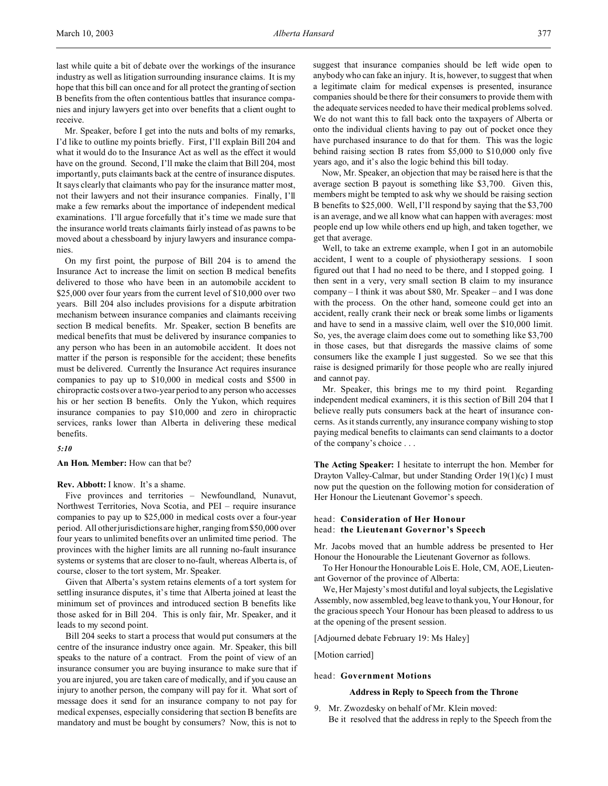last while quite a bit of debate over the workings of the insurance industry as well as litigation surrounding insurance claims. It is my hope that this bill can once and for all protect the granting of section B benefits from the often contentious battles that insurance companies and injury lawyers get into over benefits that a client ought to receive.

Mr. Speaker, before I get into the nuts and bolts of my remarks, I'd like to outline my points briefly. First, I'll explain Bill 204 and what it would do to the Insurance Act as well as the effect it would have on the ground. Second, I'll make the claim that Bill 204, most importantly, puts claimants back at the centre of insurance disputes. It says clearly that claimants who pay for the insurance matter most, not their lawyers and not their insurance companies. Finally, I'll make a few remarks about the importance of independent medical examinations. I'll argue forcefully that it's time we made sure that the insurance world treats claimants fairly instead of as pawns to be moved about a chessboard by injury lawyers and insurance companies.

On my first point, the purpose of Bill 204 is to amend the Insurance Act to increase the limit on section B medical benefits delivered to those who have been in an automobile accident to \$25,000 over four years from the current level of \$10,000 over two years. Bill 204 also includes provisions for a dispute arbitration mechanism between insurance companies and claimants receiving section B medical benefits. Mr. Speaker, section B benefits are medical benefits that must be delivered by insurance companies to any person who has been in an automobile accident. It does not matter if the person is responsible for the accident; these benefits must be delivered. Currently the Insurance Act requires insurance companies to pay up to \$10,000 in medical costs and \$500 in chiropractic costs over a two-year period to any person who accesses his or her section B benefits. Only the Yukon, which requires insurance companies to pay \$10,000 and zero in chiropractic services, ranks lower than Alberta in delivering these medical benefits.

# *5:10*

**An Hon. Member:** How can that be?

#### **Rev. Abbott:** I know. It's a shame.

Five provinces and territories – Newfoundland, Nunavut, Northwest Territories, Nova Scotia, and PEI – require insurance companies to pay up to \$25,000 in medical costs over a four-year period. All other jurisdictions are higher, ranging from \$50,000 over four years to unlimited benefits over an unlimited time period. The provinces with the higher limits are all running no-fault insurance systems or systems that are closer to no-fault, whereas Alberta is, of course, closer to the tort system, Mr. Speaker.

Given that Alberta's system retains elements of a tort system for settling insurance disputes, it's time that Alberta joined at least the minimum set of provinces and introduced section B benefits like those asked for in Bill 204. This is only fair, Mr. Speaker, and it leads to my second point.

Bill 204 seeks to start a process that would put consumers at the centre of the insurance industry once again. Mr. Speaker, this bill speaks to the nature of a contract. From the point of view of an insurance consumer you are buying insurance to make sure that if you are injured, you are taken care of medically, and if you cause an injury to another person, the company will pay for it. What sort of message does it send for an insurance company to not pay for medical expenses, especially considering that section B benefits are mandatory and must be bought by consumers? Now, this is not to

suggest that insurance companies should be left wide open to anybody who can fake an injury. It is, however, to suggest that when a legitimate claim for medical expenses is presented, insurance companies should be there for their consumers to provide them with the adequate services needed to have their medical problems solved. We do not want this to fall back onto the taxpayers of Alberta or onto the individual clients having to pay out of pocket once they have purchased insurance to do that for them. This was the logic behind raising section B rates from \$5,000 to \$10,000 only five years ago, and it's also the logic behind this bill today.

Now, Mr. Speaker, an objection that may be raised here is that the average section B payout is something like \$3,700. Given this, members might be tempted to ask why we should be raising section B benefits to \$25,000. Well, I'll respond by saying that the \$3,700 is an average, and we all know what can happen with averages: most people end up low while others end up high, and taken together, we get that average.

Well, to take an extreme example, when I got in an automobile accident, I went to a couple of physiotherapy sessions. I soon figured out that I had no need to be there, and I stopped going. I then sent in a very, very small section B claim to my insurance company – I think it was about \$80, Mr. Speaker – and I was done with the process. On the other hand, someone could get into an accident, really crank their neck or break some limbs or ligaments and have to send in a massive claim, well over the \$10,000 limit. So, yes, the average claim does come out to something like \$3,700 in those cases, but that disregards the massive claims of some consumers like the example I just suggested. So we see that this raise is designed primarily for those people who are really injured and cannot pay.

Mr. Speaker, this brings me to my third point. Regarding independent medical examiners, it is this section of Bill 204 that I believe really puts consumers back at the heart of insurance concerns. As it stands currently, any insurance company wishing to stop paying medical benefits to claimants can send claimants to a doctor of the company's choice . . .

**The Acting Speaker:** I hesitate to interrupt the hon. Member for Drayton Valley-Calmar, but under Standing Order 19(1)(c) I must now put the question on the following motion for consideration of Her Honour the Lieutenant Governor's speech.

# head: **Consideration of Her Honour**  head: **the Lieutenant Governor's Speech**

Mr. Jacobs moved that an humble address be presented to Her Honour the Honourable the Lieutenant Governor as follows.

To Her Honour the Honourable Lois E. Hole, CM, AOE, Lieutenant Governor of the province of Alberta:

We, Her Majesty's most dutiful and loyal subjects, the Legislative Assembly, now assembled, beg leave to thank you, Your Honour, for the gracious speech Your Honour has been pleased to address to us at the opening of the present session.

[Adjourned debate February 19: Ms Haley]

[Motion carried]

## head: **Government Motions**

# **Address in Reply to Speech from the Throne**

9. Mr. Zwozdesky on behalf of Mr. Klein moved: Be it resolved that the address in reply to the Speech from the